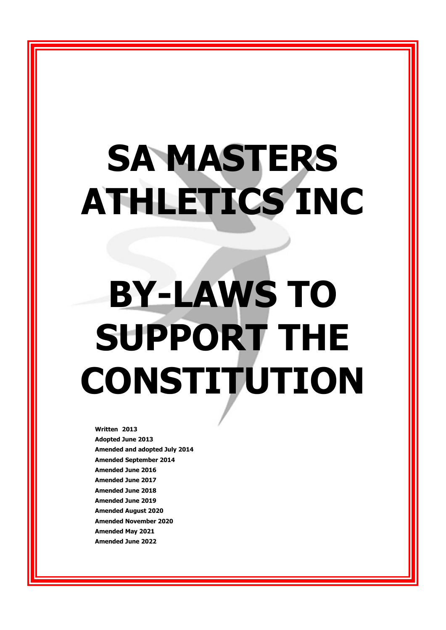# **SA MASTERS ATHLETICS INC**

# **BY-LAWS TO SUPPORT THE CONSTITUTION**

**Written 2013 Adopted June 2013 Amended and adopted July 2014 Amended September 2014 Amended June 2016 Amended June 2017 Amended June 2018 Amended June 2019 Amended August 2020 Amended November 2020 Amended May 2021 Amended June 2022**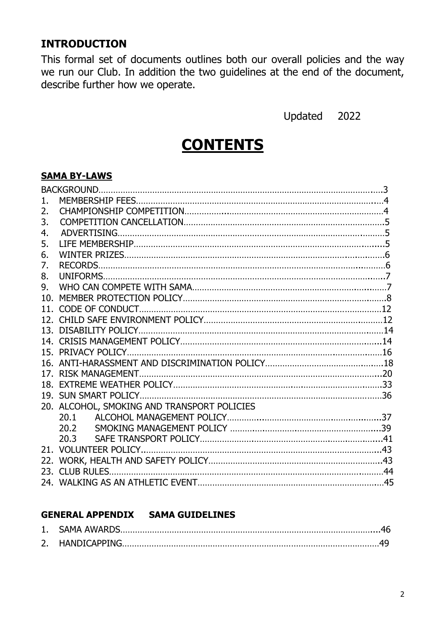# **INTRODUCTION**

This formal set of documents outlines both our overall policies and the way we run our Club. In addition the two guidelines at the end of the document, describe further how we operate.

Updated 2022

# **CONTENTS**

#### **SAMA BY-LAWS**

| 1.  |                                             |  |
|-----|---------------------------------------------|--|
| 2.  |                                             |  |
| 3.  |                                             |  |
| 4.  |                                             |  |
| 5.  |                                             |  |
| 6.  |                                             |  |
| 7.  |                                             |  |
| 8.  |                                             |  |
| 9.  |                                             |  |
| 10. |                                             |  |
|     |                                             |  |
|     |                                             |  |
|     |                                             |  |
|     |                                             |  |
|     |                                             |  |
|     |                                             |  |
|     |                                             |  |
|     |                                             |  |
|     |                                             |  |
|     | 20. ALCOHOL, SMOKING AND TRANSPORT POLICIES |  |
|     | 20.1                                        |  |
|     |                                             |  |
|     | 20.3                                        |  |
|     |                                             |  |
|     |                                             |  |
|     |                                             |  |
|     |                                             |  |

#### **GENERAL APPENDIX SAMA GUIDELINES**

| 1. SAMA AWARDS.  |  |
|------------------|--|
| 2. HANDICAPPING. |  |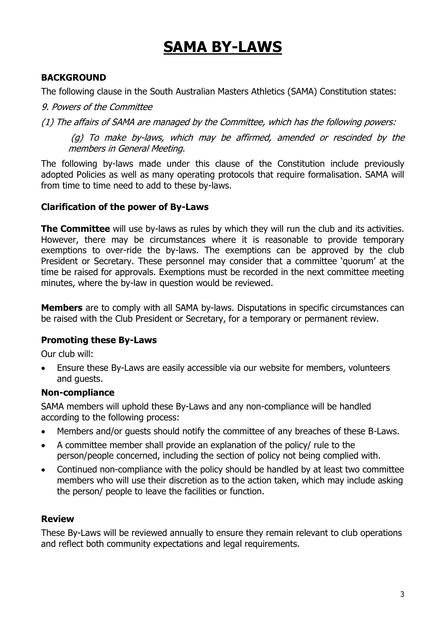# **SAMA BY-LAWS**

# **BACKGROUND**

The following clause in the South Australian Masters Athletics (SAMA) Constitution states:

9. Powers of the Committee

(1) The affairs of SAMA are managed by the Committee, which has the following powers:

(g) To make by-laws, which may be affirmed, amended or rescinded by the members in General Meeting.

The following by-laws made under this clause of the Constitution include previously adopted Policies as well as many operating protocols that require formalisation. SAMA will from time to time need to add to these by-laws.

#### **Clarification of the power of By-Laws**

**The Committee** will use by-laws as rules by which they will run the club and its activities. However, there may be circumstances where it is reasonable to provide temporary exemptions to over-ride the by-laws. The exemptions can be approved by the club President or Secretary. These personnel may consider that a committee 'quorum' at the time be raised for approvals. Exemptions must be recorded in the next committee meeting minutes, where the by-law in question would be reviewed.

**Members** are to comply with all SAMA by-laws. Disputations in specific circumstances can be raised with the Club President or Secretary, for a temporary or permanent review.

## **Promoting these By-Laws**

Our club will:

• Ensure these By-Laws are easily accessible via our website for members, volunteers and guests.

## **Non-compliance**

SAMA members will uphold these By-Laws and any non-compliance will be handled according to the following process:

- Members and/or guests should notify the committee of any breaches of these B-Laws.
- A committee member shall provide an explanation of the policy/ rule to the person/people concerned, including the section of policy not being complied with.
- Continued non-compliance with the policy should be handled by at least two committee members who will use their discretion as to the action taken, which may include asking the person/ people to leave the facilities or function.

## **Review**

These By-Laws will be reviewed annually to ensure they remain relevant to club operations and reflect both community expectations and legal requirements.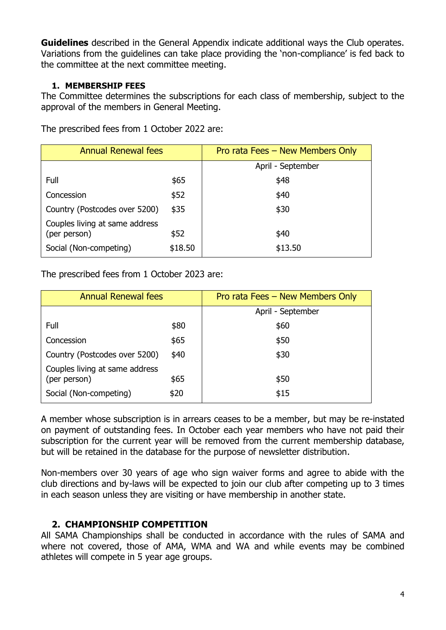**Guidelines** described in the General Appendix indicate additional ways the Club operates. Variations from the guidelines can take place providing the 'non-compliance' is fed back to the committee at the next committee meeting.

#### **1. MEMBERSHIP FEES**

The Committee determines the subscriptions for each class of membership, subject to the approval of the members in General Meeting.

The prescribed fees from 1 October 2022 are:

| <b>Annual Renewal fees</b>                     |         | Pro rata Fees - New Members Only |  |  |  |
|------------------------------------------------|---------|----------------------------------|--|--|--|
|                                                |         | April - September                |  |  |  |
| Full                                           | \$65    | \$48                             |  |  |  |
| Concession                                     | \$52    | \$40                             |  |  |  |
| Country (Postcodes over 5200)                  | \$35    | \$30                             |  |  |  |
| Couples living at same address<br>(per person) | \$52    | \$40                             |  |  |  |
| Social (Non-competing)                         | \$18.50 | \$13.50                          |  |  |  |

The prescribed fees from 1 October 2023 are:

| <b>Annual Renewal fees</b>                     |      | Pro rata Fees - New Members Only |  |  |  |  |
|------------------------------------------------|------|----------------------------------|--|--|--|--|
|                                                |      | April - September                |  |  |  |  |
| Full                                           | \$80 | \$60                             |  |  |  |  |
| Concession                                     | \$65 | \$50                             |  |  |  |  |
| Country (Postcodes over 5200)                  | \$40 | \$30                             |  |  |  |  |
| Couples living at same address<br>(per person) | \$65 | \$50                             |  |  |  |  |
| Social (Non-competing)                         | \$20 | \$15                             |  |  |  |  |

A member whose subscription is in arrears ceases to be a member, but may be re-instated on payment of outstanding fees. In October each year members who have not paid their subscription for the current year will be removed from the current membership database, but will be retained in the database for the purpose of newsletter distribution.

Non-members over 30 years of age who sign waiver forms and agree to abide with the club directions and by-laws will be expected to join our club after competing up to 3 times in each season unless they are visiting or have membership in another state.

## **2. CHAMPIONSHIP COMPETITION**

All SAMA Championships shall be conducted in accordance with the rules of SAMA and where not covered, those of AMA, WMA and WA and while events may be combined athletes will compete in 5 year age groups.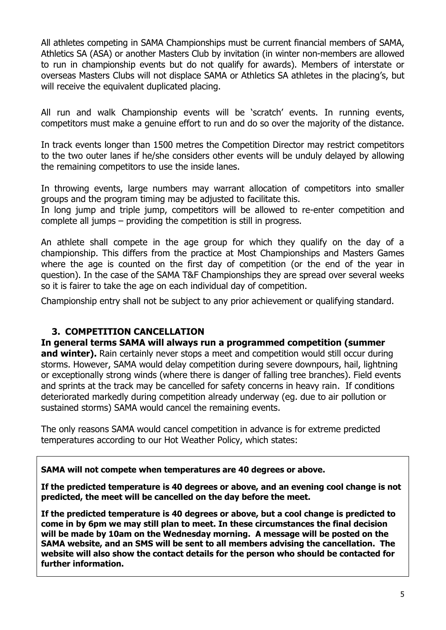All athletes competing in SAMA Championships must be current financial members of SAMA, Athletics SA (ASA) or another Masters Club by invitation (in winter non-members are allowed to run in championship events but do not qualify for awards). Members of interstate or overseas Masters Clubs will not displace SAMA or Athletics SA athletes in the placing's, but will receive the equivalent duplicated placing.

All run and walk Championship events will be 'scratch' events. In running events, competitors must make a genuine effort to run and do so over the majority of the distance.

In track events longer than 1500 metres the Competition Director may restrict competitors to the two outer lanes if he/she considers other events will be unduly delayed by allowing the remaining competitors to use the inside lanes.

In throwing events, large numbers may warrant allocation of competitors into smaller groups and the program timing may be adjusted to facilitate this.

In long jump and triple jump, competitors will be allowed to re-enter competition and complete all jumps – providing the competition is still in progress.

An athlete shall compete in the age group for which they qualify on the day of a championship. This differs from the practice at Most Championships and Masters Games where the age is counted on the first day of competition (or the end of the year in question). In the case of the SAMA T&F Championships they are spread over several weeks so it is fairer to take the age on each individual day of competition.

Championship entry shall not be subject to any prior achievement or qualifying standard.

## **3. COMPETITION CANCELLATION**

#### **In general terms SAMA will always run a programmed competition (summer**

**and winter).** Rain certainly never stops a meet and competition would still occur during storms. However, SAMA would delay competition during severe downpours, hail, lightning or exceptionally strong winds (where there is danger of falling tree branches). Field events and sprints at the track may be cancelled for safety concerns in heavy rain. If conditions deteriorated markedly during competition already underway (eg. due to air pollution or sustained storms) SAMA would cancel the remaining events.

The only reasons SAMA would cancel competition in advance is for extreme predicted temperatures according to our Hot Weather Policy, which states:

#### **SAMA will not compete when temperatures are 40 degrees or above.**

**If the predicted temperature is 40 degrees or above, and an evening cool change is not predicted, the meet will be cancelled on the day before the meet.**

**If the predicted temperature is 40 degrees or above, but a cool change is predicted to come in by 6pm we may still plan to meet. In these circumstances the final decision will be made by 10am on the Wednesday morning. A message will be posted on the SAMA website, and an SMS will be sent to all members advising the cancellation. The website will also show the contact details for the person who should be contacted for further information.**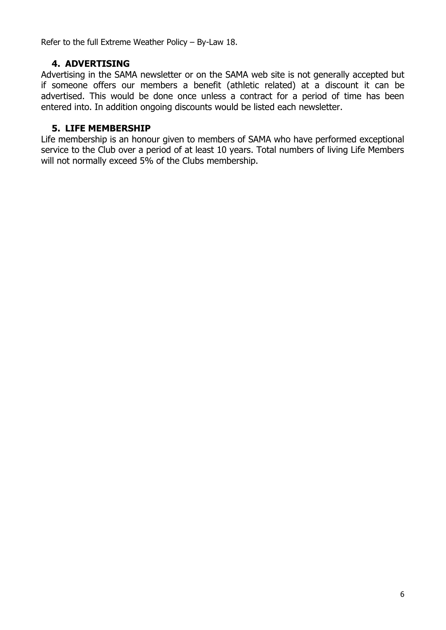Refer to the full Extreme Weather Policy – By-Law 18.

# **4. ADVERTISING**

Advertising in the SAMA newsletter or on the SAMA web site is not generally accepted but if someone offers our members a benefit (athletic related) at a discount it can be advertised. This would be done once unless a contract for a period of time has been entered into. In addition ongoing discounts would be listed each newsletter.

## **5. LIFE MEMBERSHIP**

Life membership is an honour given to members of SAMA who have performed exceptional service to the Club over a period of at least 10 years. Total numbers of living Life Members will not normally exceed 5% of the Clubs membership.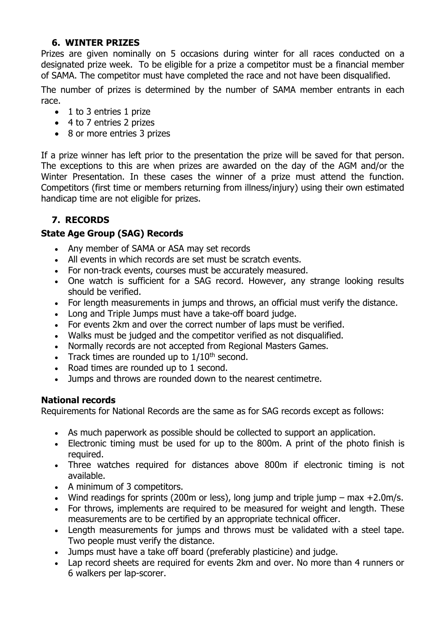#### **6. WINTER PRIZES**

Prizes are given nominally on 5 occasions during winter for all races conducted on a designated prize week. To be eligible for a prize a competitor must be a financial member of SAMA. The competitor must have completed the race and not have been disqualified.

The number of prizes is determined by the number of SAMA member entrants in each race.

- 1 to 3 entries 1 prize
- 4 to 7 entries 2 prizes
- 8 or more entries 3 prizes

If a prize winner has left prior to the presentation the prize will be saved for that person. The exceptions to this are when prizes are awarded on the day of the AGM and/or the Winter Presentation. In these cases the winner of a prize must attend the function. Competitors (first time or members returning from illness/injury) using their own estimated handicap time are not eligible for prizes.

# **7. RECORDS**

## **State Age Group (SAG) Records**

- Any member of SAMA or ASA may set records
- All events in which records are set must be scratch events.
- For non-track events, courses must be accurately measured.
- One watch is sufficient for a SAG record. However, any strange looking results should be verified.
- For length measurements in jumps and throws, an official must verify the distance.
- Long and Triple Jumps must have a take-off board judge.
- For events 2km and over the correct number of laps must be verified.
- Walks must be judged and the competitor verified as not disqualified.
- Normally records are not accepted from Regional Masters Games.
- Track times are rounded up to  $1/10^{th}$  second.
- Road times are rounded up to 1 second.
- Jumps and throws are rounded down to the nearest centimetre.

#### **National records**

Requirements for National Records are the same as for SAG records except as follows:

- As much paperwork as possible should be collected to support an application.
- Electronic timing must be used for up to the 800m. A print of the photo finish is required.
- Three watches required for distances above 800m if electronic timing is not available.
- A minimum of 3 competitors.
- Wind readings for sprints (200m or less), long jump and triple jump  $-$  max  $+2.0$ m/s.
- For throws, implements are required to be measured for weight and length. These measurements are to be certified by an appropriate technical officer.
- Length measurements for jumps and throws must be validated with a steel tape. Two people must verify the distance.
- Jumps must have a take off board (preferably plasticine) and judge.
- Lap record sheets are required for events 2km and over. No more than 4 runners or 6 walkers per lap-scorer.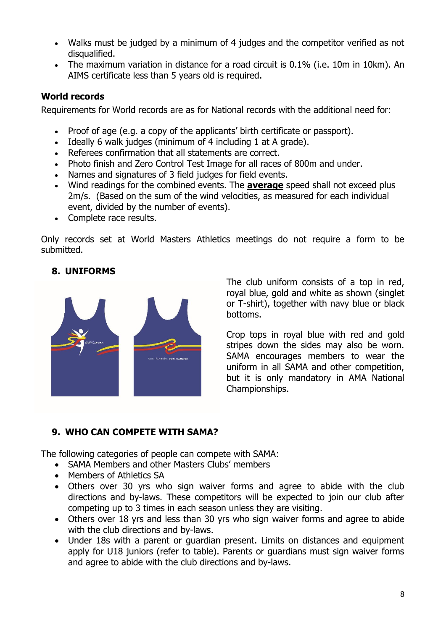- Walks must be judged by a minimum of 4 judges and the competitor verified as not disqualified.
- The maximum variation in distance for a road circuit is 0.1% (i.e. 10m in 10km). An AIMS certificate less than 5 years old is required.

# **World records**

Requirements for World records are as for National records with the additional need for:

- Proof of age (e.g. a copy of the applicants' birth certificate or passport).
- Ideally 6 walk judges (minimum of 4 including 1 at A grade).
- Referees confirmation that all statements are correct.
- Photo finish and Zero Control Test Image for all races of 800m and under.
- Names and signatures of 3 field judges for field events.
- Wind readings for the combined events. The **average** speed shall not exceed plus 2m/s. (Based on the sum of the wind velocities, as measured for each individual event, divided by the number of events).
- Complete race results.

Only records set at World Masters Athletics meetings do not require a form to be submitted.

# **8. UNIFORMS**



The club uniform consists of a top in red, royal blue, gold and white as shown (singlet or T-shirt), together with navy blue or black bottoms.

Crop tops in royal blue with red and gold stripes down the sides may also be worn. SAMA encourages members to wear the uniform in all SAMA and other competition, but it is only mandatory in AMA National Championships.

## **9. WHO CAN COMPETE WITH SAMA?**

The following categories of people can compete with SAMA:

- SAMA Members and other Masters Clubs' members
- Members of Athletics SA
- Others over 30 yrs who sign waiver forms and agree to abide with the club directions and by-laws. These competitors will be expected to join our club after competing up to 3 times in each season unless they are visiting.
- Others over 18 yrs and less than 30 yrs who sign waiver forms and agree to abide with the club directions and by-laws.
- Under 18s with a parent or guardian present. Limits on distances and equipment apply for U18 juniors (refer to table). Parents or guardians must sign waiver forms and agree to abide with the club directions and by-laws.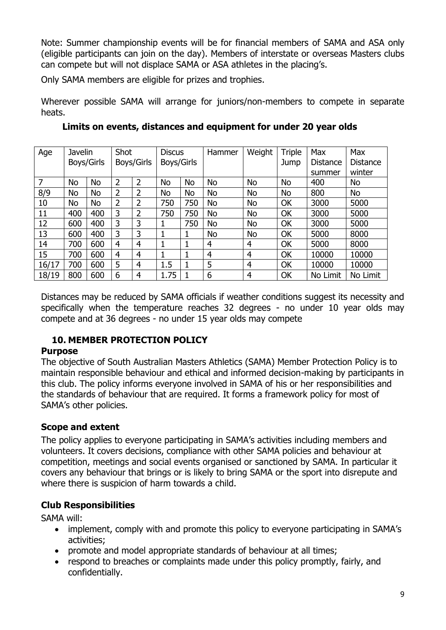Note: Summer championship events will be for financial members of SAMA and ASA only (eligible participants can join on the day). Members of interstate or overseas Masters clubs can compete but will not displace SAMA or ASA athletes in the placing's.

Only SAMA members are eligible for prizes and trophies.

Wherever possible SAMA will arrange for juniors/non-members to compete in separate heats.

| Age   | Shot<br>Javelin |            | <b>Discus</b> |            | Hammer     | Weight | Triple    | Max            | <b>Max</b> |          |          |
|-------|-----------------|------------|---------------|------------|------------|--------|-----------|----------------|------------|----------|----------|
|       |                 | Boys/Girls |               | Boys/Girls | Boys/Girls |        |           |                | Jump       | Distance | Distance |
|       |                 |            |               |            |            |        |           |                |            | summer   | winter   |
| 7     | <b>No</b>       | <b>No</b>  | 2             | 2          | No         | No     | <b>No</b> | No             | <b>No</b>  | 400      | No       |
| 8/9   | <b>No</b>       | <b>No</b>  | 2             | 2          | No         | No     | <b>No</b> | No             | <b>No</b>  | 800      | No       |
| 10    | <b>No</b>       | <b>No</b>  | 2             | 2          | 750        | 750    | <b>No</b> | No             | OK         | 3000     | 5000     |
| 11    | 400             | 400        | 3             | 2          | 750        | 750    | No        | No             | OK         | 3000     | 5000     |
| 12    | 600             | 400        | 3             | 3          |            | 750    | <b>No</b> | No             | OK         | 3000     | 5000     |
| 13    | 600             | 400        | 3             | 3          |            | 1      | No        | No             | OK         | 5000     | 8000     |
| 14    | 700             | 600        | 4             | 4          | 1          | 1      | 4         | 4              | OK         | 5000     | 8000     |
| 15    | 700             | 600        | 4             | 4          |            | 1      | 4         | $\overline{4}$ | OK         | 10000    | 10000    |
| 16/17 | 700             | 600        | 5             | 4          | 1.5        |        | 5         | $\overline{4}$ | OK         | 10000    | 10000    |
| 18/19 | 800             | 600        | 6             | 4          | 1.75       |        | 6         | $\overline{4}$ | OK         | No Limit | No Limit |

**Limits on events, distances and equipment for under 20 year olds**

Distances may be reduced by SAMA officials if weather conditions suggest its necessity and specifically when the temperature reaches 32 degrees - no under 10 year olds may compete and at 36 degrees - no under 15 year olds may compete

# **10. MEMBER PROTECTION POLICY**

## **Purpose**

The objective of South Australian Masters Athletics (SAMA) Member Protection Policy is to maintain responsible behaviour and ethical and informed decision-making by participants in this club. The policy informs everyone involved in SAMA of his or her responsibilities and the standards of behaviour that are required. It forms a framework policy for most of SAMA's other policies.

# **Scope and extent**

The policy applies to everyone participating in SAMA's activities including members and volunteers. It covers decisions, compliance with other SAMA policies and behaviour at competition, meetings and social events organised or sanctioned by SAMA. In particular it covers any behaviour that brings or is likely to bring SAMA or the sport into disrepute and where there is suspicion of harm towards a child.

# **Club Responsibilities**

SAMA will:

- implement, comply with and promote this policy to everyone participating in SAMA's activities;
- promote and model appropriate standards of behaviour at all times;
- respond to breaches or complaints made under this policy promptly, fairly, and confidentially.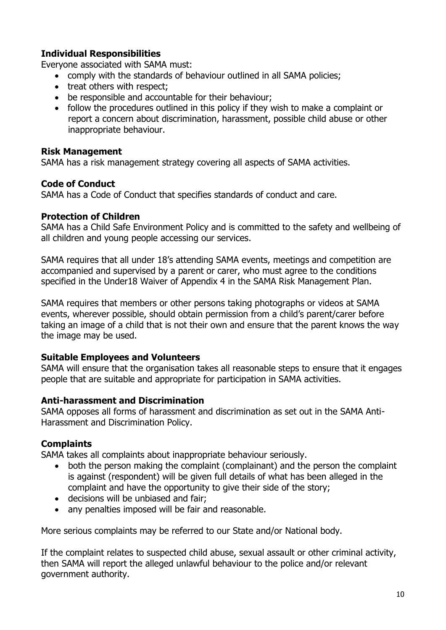#### **Individual Responsibilities**

Everyone associated with SAMA must:

- comply with the standards of behaviour outlined in all SAMA policies;
- treat others with respect;
- be responsible and accountable for their behaviour;
- follow the procedures outlined in this policy if they wish to make a complaint or report a concern about discrimination, harassment, possible child abuse or other inappropriate behaviour.

#### **Risk Management**

SAMA has a risk management strategy covering all aspects of SAMA activities.

#### **Code of Conduct**

SAMA has a Code of Conduct that specifies standards of conduct and care.

#### **Protection of Children**

SAMA has a Child Safe Environment Policy and is committed to the safety and wellbeing of all children and young people accessing our services.

SAMA requires that all under 18's attending SAMA events, meetings and competition are accompanied and supervised by a parent or carer, who must agree to the conditions specified in the Under18 Waiver of Appendix 4 in the SAMA Risk Management Plan.

SAMA requires that members or other persons taking photographs or videos at SAMA events, wherever possible, should obtain permission from a child's parent/carer before taking an image of a child that is not their own and ensure that the parent knows the way the image may be used.

#### **Suitable Employees and Volunteers**

SAMA will ensure that the organisation takes all reasonable steps to ensure that it engages people that are suitable and appropriate for participation in SAMA activities.

#### **Anti-harassment and Discrimination**

SAMA opposes all forms of harassment and discrimination as set out in the SAMA Anti-Harassment and Discrimination Policy.

#### **Complaints**

SAMA takes all complaints about inappropriate behaviour seriously.

- both the person making the complaint (complainant) and the person the complaint is against (respondent) will be given full details of what has been alleged in the complaint and have the opportunity to give their side of the story;
- decisions will be unbiased and fair;
- any penalties imposed will be fair and reasonable.

More serious complaints may be referred to our State and/or National body.

If the complaint relates to suspected child abuse, sexual assault or other criminal activity, then SAMA will report the alleged unlawful behaviour to the police and/or relevant government authority.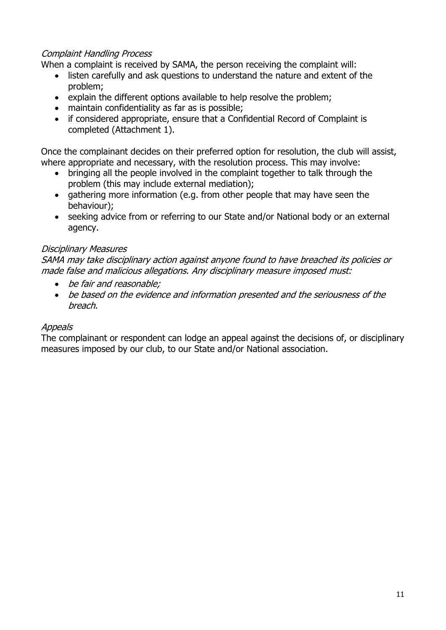#### Complaint Handling Process

When a complaint is received by SAMA, the person receiving the complaint will:

- listen carefully and ask questions to understand the nature and extent of the problem;
- explain the different options available to help resolve the problem;
- maintain confidentiality as far as is possible;
- if considered appropriate, ensure that a Confidential Record of Complaint is completed (Attachment 1).

Once the complainant decides on their preferred option for resolution, the club will assist, where appropriate and necessary, with the resolution process. This may involve:

- bringing all the people involved in the complaint together to talk through the problem (this may include external mediation);
- gathering more information (e.g. from other people that may have seen the behaviour);
- seeking advice from or referring to our State and/or National body or an external agency.

#### Disciplinary Measures

SAMA may take disciplinary action against anyone found to have breached its policies or made false and malicious allegations. Any disciplinary measure imposed must:

- be fair and reasonable;
- be based on the evidence and information presented and the seriousness of the breach.

#### **Appeals**

The complainant or respondent can lodge an appeal against the decisions of, or disciplinary measures imposed by our club, to our State and/or National association.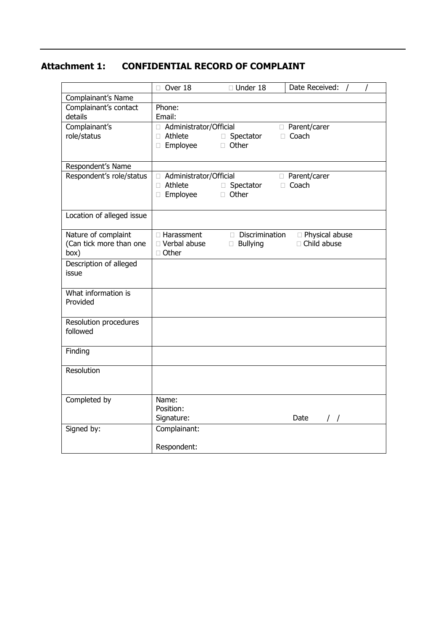#### **Attachment 1: CONFIDENTIAL RECORD OF COMPLAINT**

|                           | □ Under 18<br>$\Box$ Over 18<br>Date Received:     |
|---------------------------|----------------------------------------------------|
| Complainant's Name        |                                                    |
| Complainant's contact     | Phone:                                             |
| details                   | Email:                                             |
| Complainant's             | □ Parent/carer<br>Administrator/Official           |
| role/status               | □ Athlete<br>$\Box$ Coach<br>□ Spectator           |
|                           | □ Other<br>□ Employee                              |
|                           |                                                    |
| Respondent's Name         |                                                    |
| Respondent's role/status  | □ Parent/carer<br>□ Administrator/Official         |
|                           | □ Athlete<br>□ Coach<br>□ Spectator                |
|                           | □ Other<br>□ Employee                              |
|                           |                                                    |
| Location of alleged issue |                                                    |
|                           |                                                    |
| Nature of complaint       | Discrimination<br>□ Harassment<br>□ Physical abuse |
| (Can tick more than one   | □ Child abuse<br>□ Verbal abuse<br>$\Box$ Bullying |
| box)                      | □ Other                                            |
| Description of alleged    |                                                    |
| issue                     |                                                    |
|                           |                                                    |
| What information is       |                                                    |
| Provided                  |                                                    |
|                           |                                                    |
| Resolution procedures     |                                                    |
| followed                  |                                                    |
|                           |                                                    |
| Finding                   |                                                    |
|                           |                                                    |
| Resolution                |                                                    |
|                           |                                                    |
|                           |                                                    |
| Completed by              | Name:                                              |
|                           | Position:                                          |
|                           | Signature:<br>Date                                 |
| Signed by:                | Complainant:                                       |
|                           |                                                    |
|                           | Respondent:                                        |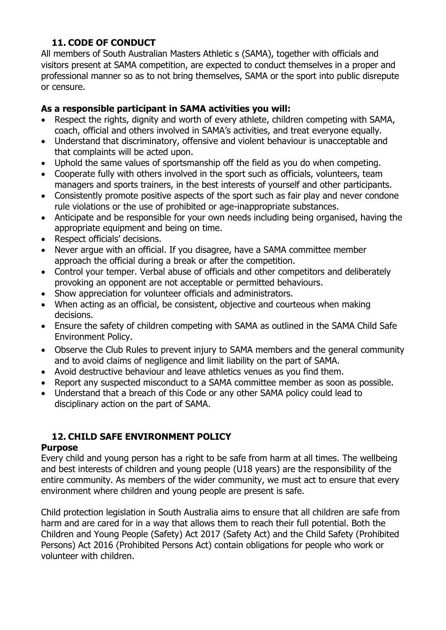# **11. CODE OF CONDUCT**

All members of South Australian Masters Athletic s (SAMA), together with officials and visitors present at SAMA competition, are expected to conduct themselves in a proper and professional manner so as to not bring themselves, SAMA or the sport into public disrepute or censure.

## **As a responsible participant in SAMA activities you will:**

- Respect the rights, dignity and worth of every athlete, children competing with SAMA, coach, official and others involved in SAMA's activities, and treat everyone equally.
- Understand that discriminatory, offensive and violent behaviour is unacceptable and that complaints will be acted upon.
- Uphold the same values of sportsmanship off the field as you do when competing.
- Cooperate fully with others involved in the sport such as officials, volunteers, team managers and sports trainers, in the best interests of yourself and other participants.
- Consistently promote positive aspects of the sport such as fair play and never condone rule violations or the use of prohibited or age-inappropriate substances.
- Anticipate and be responsible for your own needs including being organised, having the appropriate equipment and being on time.
- Respect officials' decisions.
- Never argue with an official. If you disagree, have a SAMA committee member approach the official during a break or after the competition.
- Control your temper. Verbal abuse of officials and other competitors and deliberately provoking an opponent are not acceptable or permitted behaviours.
- Show appreciation for volunteer officials and administrators.
- When acting as an official, be consistent, objective and courteous when making decisions.
- Ensure the safety of children competing with SAMA as outlined in the SAMA Child Safe Environment Policy.
- Observe the Club Rules to prevent injury to SAMA members and the general community and to avoid claims of negligence and limit liability on the part of SAMA.
- Avoid destructive behaviour and leave athletics venues as you find them.
- Report any suspected misconduct to a SAMA committee member as soon as possible.
- Understand that a breach of this Code or any other SAMA policy could lead to disciplinary action on the part of SAMA.

# **12. CHILD SAFE ENVIRONMENT POLICY**

## **Purpose**

Every child and young person has a right to be safe from harm at all times. The wellbeing and best interests of children and young people (U18 years) are the responsibility of the entire community. As members of the wider community, we must act to ensure that every environment where children and young people are present is safe.

Child protection legislation in South Australia aims to ensure that all children are safe from harm and are cared for in a way that allows them to reach their full potential. Both the Children and Young People (Safety) Act 2017 (Safety Act) and the Child Safety (Prohibited Persons) Act 2016 (Prohibited Persons Act) contain obligations for people who work or volunteer with children.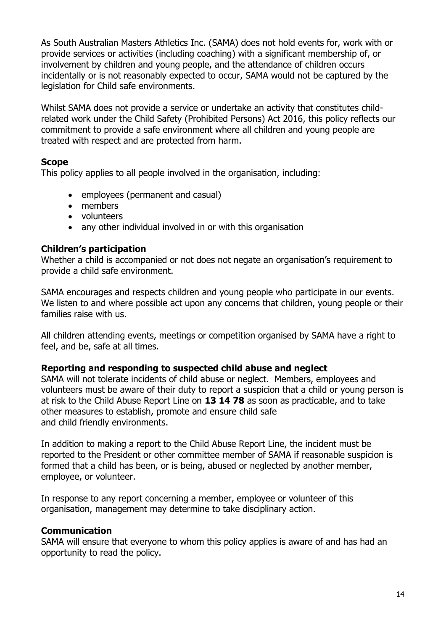As South Australian Masters Athletics Inc. (SAMA) does not hold events for, work with or provide services or activities (including coaching) with a significant membership of, or involvement by children and young people, and the attendance of children occurs incidentally or is not reasonably expected to occur, SAMA would not be captured by the legislation for Child safe environments.

Whilst SAMA does not provide a service or undertake an activity that constitutes childrelated work under the Child Safety (Prohibited Persons) Act 2016, this policy reflects our commitment to provide a safe environment where all children and young people are treated with respect and are protected from harm.

#### **Scope**

This policy applies to all people involved in the organisation, including:

- employees (permanent and casual)
- members
- volunteers
- any other individual involved in or with this organisation

#### **Children's participation**

Whether a child is accompanied or not does not negate an organisation's requirement to provide a child safe environment.

SAMA encourages and respects children and young people who participate in our events. We listen to and where possible act upon any concerns that children, young people or their families raise with us.

All children attending events, meetings or competition organised by SAMA have a right to feel, and be, safe at all times.

#### **Reporting and responding to suspected child abuse and neglect**

SAMA will not tolerate incidents of child abuse or neglect. Members, employees and volunteers must be aware of their duty to report a suspicion that a child or young person is at risk to the Child Abuse Report Line on **13 14 78** as soon as practicable, and to take other measures to establish, promote and ensure child safe and child friendly environments.

In addition to making a report to the Child Abuse Report Line, the incident must be reported to the President or other committee member of SAMA if reasonable suspicion is formed that a child has been, or is being, abused or neglected by another member, employee, or volunteer.

In response to any report concerning a member, employee or volunteer of this organisation, management may determine to take disciplinary action.

#### **Communication**

SAMA will ensure that everyone to whom this policy applies is aware of and has had an opportunity to read the policy.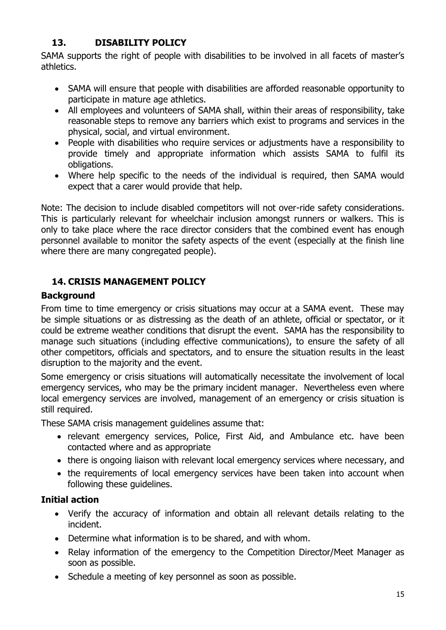# **13. DISABILITY POLICY**

SAMA supports the right of people with disabilities to be involved in all facets of master's athletics.

- SAMA will ensure that people with disabilities are afforded reasonable opportunity to participate in mature age athletics.
- All employees and volunteers of SAMA shall, within their areas of responsibility, take reasonable steps to remove any barriers which exist to programs and services in the physical, social, and virtual environment.
- People with disabilities who require services or adjustments have a responsibility to provide timely and appropriate information which assists SAMA to fulfil its obligations.
- Where help specific to the needs of the individual is required, then SAMA would expect that a carer would provide that help.

Note: The decision to include disabled competitors will not over-ride safety considerations. This is particularly relevant for wheelchair inclusion amongst runners or walkers. This is only to take place where the race director considers that the combined event has enough personnel available to monitor the safety aspects of the event (especially at the finish line where there are many congregated people).

# **14. CRISIS MANAGEMENT POLICY**

# **Background**

From time to time emergency or crisis situations may occur at a SAMA event. These may be simple situations or as distressing as the death of an athlete, official or spectator, or it could be extreme weather conditions that disrupt the event. SAMA has the responsibility to manage such situations (including effective communications), to ensure the safety of all other competitors, officials and spectators, and to ensure the situation results in the least disruption to the majority and the event.

Some emergency or crisis situations will automatically necessitate the involvement of local emergency services, who may be the primary incident manager. Nevertheless even where local emergency services are involved, management of an emergency or crisis situation is still required.

These SAMA crisis management guidelines assume that:

- relevant emergency services, Police, First Aid, and Ambulance etc. have been contacted where and as appropriate
- there is ongoing liaison with relevant local emergency services where necessary, and
- the requirements of local emergency services have been taken into account when following these guidelines.

# **Initial action**

- Verify the accuracy of information and obtain all relevant details relating to the incident.
- Determine what information is to be shared, and with whom.
- Relay information of the emergency to the Competition Director/Meet Manager as soon as possible.
- Schedule a meeting of key personnel as soon as possible.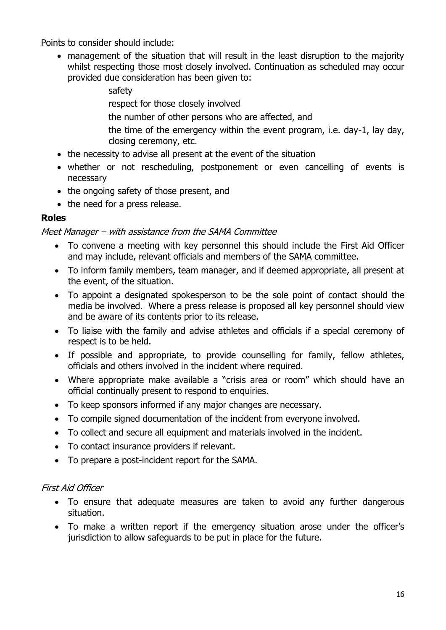Points to consider should include:

• management of the situation that will result in the least disruption to the majority whilst respecting those most closely involved. Continuation as scheduled may occur provided due consideration has been given to:

> safety respect for those closely involved the number of other persons who are affected, and the time of the emergency within the event program, i.e. day-1, lay day, closing ceremony, etc.

- the necessity to advise all present at the event of the situation
- whether or not rescheduling, postponement or even cancelling of events is necessary
- the ongoing safety of those present, and
- the need for a press release.

## **Roles**

Meet Manager – with assistance from the SAMA Committee

- To convene a meeting with key personnel this should include the First Aid Officer and may include, relevant officials and members of the SAMA committee.
- To inform family members, team manager, and if deemed appropriate, all present at the event, of the situation.
- To appoint a designated spokesperson to be the sole point of contact should the media be involved. Where a press release is proposed all key personnel should view and be aware of its contents prior to its release.
- To liaise with the family and advise athletes and officials if a special ceremony of respect is to be held.
- If possible and appropriate, to provide counselling for family, fellow athletes, officials and others involved in the incident where required.
- Where appropriate make available a "crisis area or room" which should have an official continually present to respond to enquiries.
- To keep sponsors informed if any major changes are necessary.
- To compile signed documentation of the incident from everyone involved.
- To collect and secure all equipment and materials involved in the incident.
- To contact insurance providers if relevant.
- To prepare a post-incident report for the SAMA.

#### First Aid Officer

- To ensure that adequate measures are taken to avoid any further dangerous situation.
- To make a written report if the emergency situation arose under the officer's jurisdiction to allow safeguards to be put in place for the future.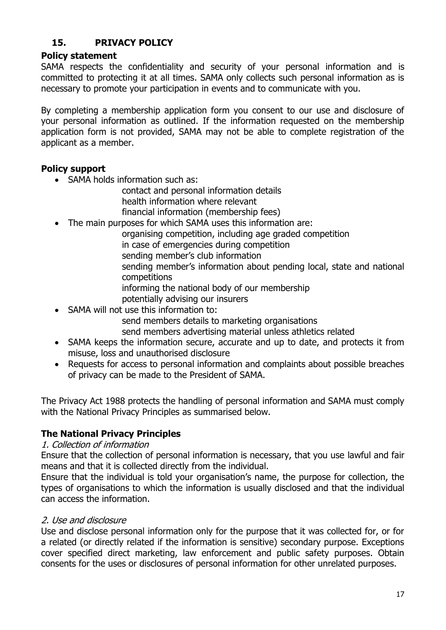# **15. PRIVACY POLICY**

#### **Policy statement**

SAMA respects the confidentiality and security of your personal information and is committed to protecting it at all times. SAMA only collects such personal information as is necessary to promote your participation in events and to communicate with you.

By completing a membership application form you consent to our use and disclosure of your personal information as outlined. If the information requested on the membership application form is not provided, SAMA may not be able to complete registration of the applicant as a member.

#### **Policy support**

• SAMA holds information such as:

contact and personal information details health information where relevant

financial information (membership fees)

- The main purposes for which SAMA uses this information are:
	- organising competition, including age graded competition
		- in case of emergencies during competition
		- sending member's club information

sending member's information about pending local, state and national competitions

- informing the national body of our membership
- potentially advising our insurers
- SAMA will not use this information to:

send members details to marketing organisations

send members advertising material unless athletics related

- SAMA keeps the information secure, accurate and up to date, and protects it from misuse, loss and unauthorised disclosure
- Requests for access to personal information and complaints about possible breaches of privacy can be made to the President of SAMA.

The Privacy Act 1988 protects the handling of personal information and SAMA must comply with the National Privacy Principles as summarised below.

## **The National Privacy Principles**

#### 1. Collection of information

Ensure that the collection of personal information is necessary, that you use lawful and fair means and that it is collected directly from the individual.

Ensure that the individual is told your organisation's name, the purpose for collection, the types of organisations to which the information is usually disclosed and that the individual can access the information.

#### 2. Use and disclosure

Use and disclose personal information only for the purpose that it was collected for, or for a related (or directly related if the information is sensitive) secondary purpose. Exceptions cover specified direct marketing, law enforcement and public safety purposes. Obtain consents for the uses or disclosures of personal information for other unrelated purposes.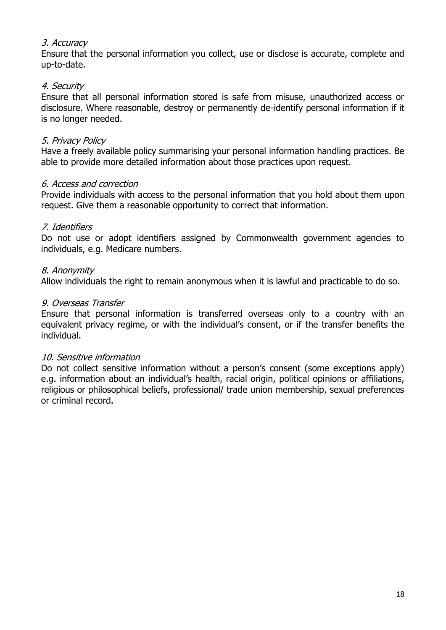#### 3. Accuracy

Ensure that the personal information you collect, use or disclose is accurate, complete and up-to-date.

#### 4. Security

Ensure that all personal information stored is safe from misuse, unauthorized access or disclosure. Where reasonable, destroy or permanently de-identify personal information if it is no longer needed.

#### 5. Privacy Policy

Have a freely available policy summarising your personal information handling practices. Be able to provide more detailed information about those practices upon request.

#### 6. Access and correction

Provide individuals with access to the personal information that you hold about them upon request. Give them a reasonable opportunity to correct that information.

#### 7. Identifiers

Do not use or adopt identifiers assigned by Commonwealth government agencies to individuals, e.g. Medicare numbers.

#### 8. Anonymity

Allow individuals the right to remain anonymous when it is lawful and practicable to do so.

#### 9. Overseas Transfer

Ensure that personal information is transferred overseas only to a country with an equivalent privacy regime, or with the individual's consent, or if the transfer benefits the individual.

#### 10. Sensitive information

Do not collect sensitive information without a person's consent (some exceptions apply) e.g. information about an individual's health, racial origin, political opinions or affiliations, religious or philosophical beliefs, professional/ trade union membership, sexual preferences or criminal record.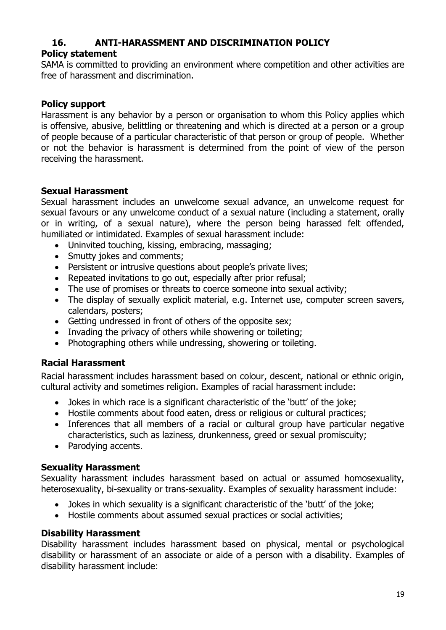# **16. ANTI-HARASSMENT AND DISCRIMINATION POLICY**

#### **Policy statement**

SAMA is committed to providing an environment where competition and other activities are free of harassment and discrimination.

#### **Policy support**

Harassment is any behavior by a person or organisation to whom this Policy applies which is offensive, abusive, belittling or threatening and which is directed at a person or a group of people because of a particular characteristic of that person or group of people. Whether or not the behavior is harassment is determined from the point of view of the person receiving the harassment.

#### **Sexual Harassment**

Sexual harassment includes an unwelcome sexual advance, an unwelcome request for sexual favours or any unwelcome conduct of a sexual nature (including a statement, orally or in writing, of a sexual nature), where the person being harassed felt offended, humiliated or intimidated. Examples of sexual harassment include:

- Uninvited touching, kissing, embracing, massaging;
- Smutty jokes and comments;
- Persistent or intrusive questions about people's private lives;
- Repeated invitations to go out, especially after prior refusal;
- The use of promises or threats to coerce someone into sexual activity;
- The display of sexually explicit material, e.g. Internet use, computer screen savers, calendars, posters;
- Getting undressed in front of others of the opposite sex;
- Invading the privacy of others while showering or toileting;
- Photographing others while undressing, showering or toileting.

#### **Racial Harassment**

Racial harassment includes harassment based on colour, descent, national or ethnic origin, cultural activity and sometimes religion. Examples of racial harassment include:

- Jokes in which race is a significant characteristic of the 'butt' of the joke;
- Hostile comments about food eaten, dress or religious or cultural practices;
- Inferences that all members of a racial or cultural group have particular negative characteristics, such as laziness, drunkenness, greed or sexual promiscuity;
- Parodying accents.

#### **Sexuality Harassment**

Sexuality harassment includes harassment based on actual or assumed homosexuality, heterosexuality, bi-sexuality or trans-sexuality. Examples of sexuality harassment include:

- Jokes in which sexuality is a significant characteristic of the 'butt' of the joke;
- Hostile comments about assumed sexual practices or social activities;

#### **Disability Harassment**

Disability harassment includes harassment based on physical, mental or psychological disability or harassment of an associate or aide of a person with a disability. Examples of disability harassment include: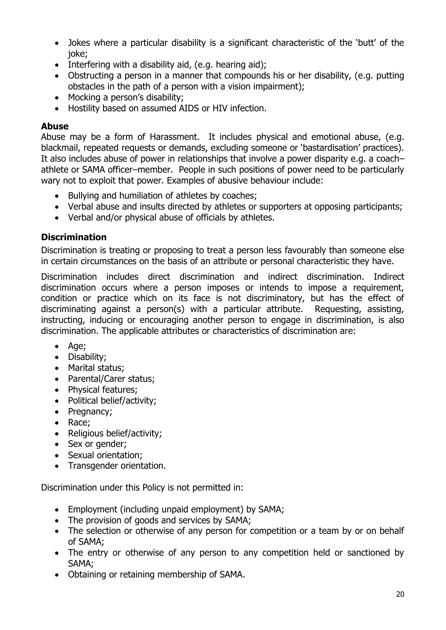- Jokes where a particular disability is a significant characteristic of the 'butt' of the joke;
- Interfering with a disability aid, (e.g. hearing aid);
- Obstructing a person in a manner that compounds his or her disability, (e.g. putting obstacles in the path of a person with a vision impairment);
- Mocking a person's disability;
- Hostility based on assumed AIDS or HIV infection.

# **Abuse**

Abuse may be a form of Harassment. It includes physical and emotional abuse, (e.g. blackmail, repeated requests or demands, excluding someone or 'bastardisation' practices). It also includes abuse of power in relationships that involve a power disparity e.g. a coach– athlete or SAMA officer–member. People in such positions of power need to be particularly wary not to exploit that power. Examples of abusive behaviour include:

- Bullying and humiliation of athletes by coaches;
- Verbal abuse and insults directed by athletes or supporters at opposing participants;
- Verbal and/or physical abuse of officials by athletes.

# **Discrimination**

Discrimination is treating or proposing to treat a person less favourably than someone else in certain circumstances on the basis of an attribute or personal characteristic they have.

Discrimination includes direct discrimination and indirect discrimination. Indirect discrimination occurs where a person imposes or intends to impose a requirement, condition or practice which on its face is not discriminatory, but has the effect of discriminating against a person(s) with a particular attribute. Requesting, assisting, instructing, inducing or encouraging another person to engage in discrimination, is also discrimination. The applicable attributes or characteristics of discrimination are:

- Age;
- Disability;
- Marital status;
- Parental/Carer status;
- Physical features;
- Political belief/activity;
- Pregnancy;
- Race;
- Religious belief/activity;
- Sex or gender:
- Sexual orientation;
- Transgender orientation.

Discrimination under this Policy is not permitted in:

- Employment (including unpaid employment) by SAMA;
- The provision of goods and services by SAMA;
- The selection or otherwise of any person for competition or a team by or on behalf of SAMA;
- The entry or otherwise of any person to any competition held or sanctioned by SAMA;
- Obtaining or retaining membership of SAMA.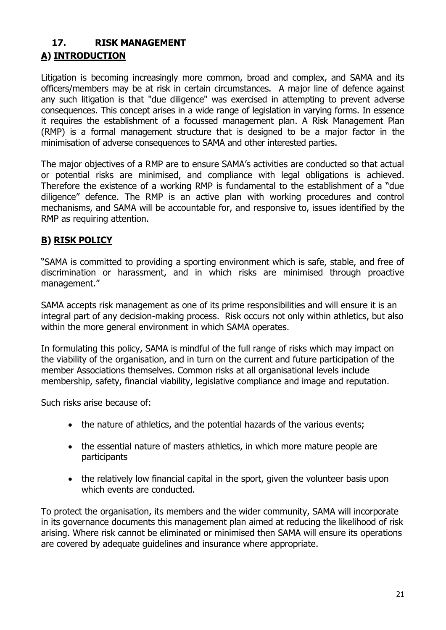# **17. RISK MANAGEMENT A) INTRODUCTION**

Litigation is becoming increasingly more common, broad and complex, and SAMA and its officers/members may be at risk in certain circumstances. A major line of defence against any such litigation is that "due diligence" was exercised in attempting to prevent adverse consequences. This concept arises in a wide range of legislation in varying forms. In essence it requires the establishment of a focussed management plan. A Risk Management Plan (RMP) is a formal management structure that is designed to be a major factor in the minimisation of adverse consequences to SAMA and other interested parties.

The major objectives of a RMP are to ensure SAMA's activities are conducted so that actual or potential risks are minimised, and compliance with legal obligations is achieved. Therefore the existence of a working RMP is fundamental to the establishment of a "due diligence" defence. The RMP is an active plan with working procedures and control mechanisms, and SAMA will be accountable for, and responsive to, issues identified by the RMP as requiring attention.

# **B) RISK POLICY**

"SAMA is committed to providing a sporting environment which is safe, stable, and free of discrimination or harassment, and in which risks are minimised through proactive management."

SAMA accepts risk management as one of its prime responsibilities and will ensure it is an integral part of any decision-making process. Risk occurs not only within athletics, but also within the more general environment in which SAMA operates.

In formulating this policy, SAMA is mindful of the full range of risks which may impact on the viability of the organisation, and in turn on the current and future participation of the member Associations themselves. Common risks at all organisational levels include membership, safety, financial viability, legislative compliance and image and reputation.

Such risks arise because of:

- the nature of athletics, and the potential hazards of the various events;
- the essential nature of masters athletics, in which more mature people are participants
- the relatively low financial capital in the sport, given the volunteer basis upon which events are conducted.

To protect the organisation, its members and the wider community, SAMA will incorporate in its governance documents this management plan aimed at reducing the likelihood of risk arising. Where risk cannot be eliminated or minimised then SAMA will ensure its operations are covered by adequate guidelines and insurance where appropriate.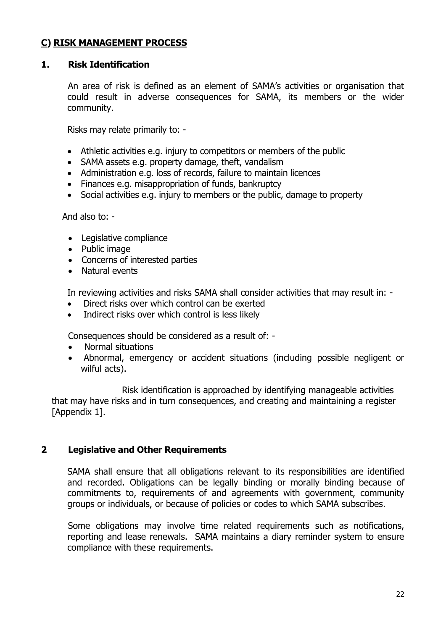## **C) RISK MANAGEMENT PROCESS**

#### **1. Risk Identification**

 An area of risk is defined as an element of SAMA's activities or organisation that could result in adverse consequences for SAMA, its members or the wider community.

Risks may relate primarily to: -

- Athletic activities e.g. injury to competitors or members of the public
- SAMA assets e.g. property damage, theft, vandalism
- Administration e.g. loss of records, failure to maintain licences
- Finances e.g. misappropriation of funds, bankruptcy
- Social activities e.g. injury to members or the public, damage to property

And also to: -

- Legislative compliance
- Public image
- Concerns of interested parties
- Natural events

In reviewing activities and risks SAMA shall consider activities that may result in: -

- Direct risks over which control can be exerted
- Indirect risks over which control is less likely

Consequences should be considered as a result of: -

- Normal situations
- Abnormal, emergency or accident situations (including possible negligent or wilful acts).

Risk identification is approached by identifying manageable activities that may have risks and in turn consequences, and creating and maintaining a register [Appendix 1].

#### **2 Legislative and Other Requirements**

SAMA shall ensure that all obligations relevant to its responsibilities are identified and recorded. Obligations can be legally binding or morally binding because of commitments to, requirements of and agreements with government, community groups or individuals, or because of policies or codes to which SAMA subscribes.

 Some obligations may involve time related requirements such as notifications, reporting and lease renewals. SAMA maintains a diary reminder system to ensure compliance with these requirements.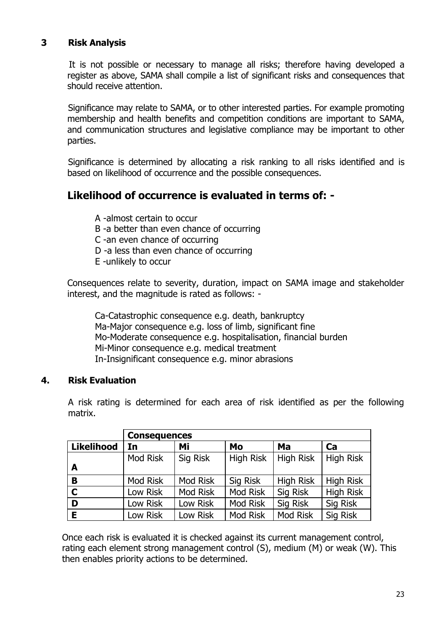## **3 Risk Analysis**

 It is not possible or necessary to manage all risks; therefore having developed a register as above, SAMA shall compile a list of significant risks and consequences that should receive attention.

Significance may relate to SAMA, or to other interested parties. For example promoting membership and health benefits and competition conditions are important to SAMA, and communication structures and legislative compliance may be important to other parties.

Significance is determined by allocating a risk ranking to all risks identified and is based on likelihood of occurrence and the possible consequences.

# **Likelihood of occurrence is evaluated in terms of: -**

A -almost certain to occur

- B -a better than even chance of occurring
- C -an even chance of occurring
- D -a less than even chance of occurring
- E -unlikely to occur

Consequences relate to severity, duration, impact on SAMA image and stakeholder interest, and the magnitude is rated as follows: -

Ca-Catastrophic consequence e.g. death, bankruptcy Ma-Major consequence e.g. loss of limb, significant fine Mo-Moderate consequence e.g. hospitalisation, financial burden Mi-Minor consequence e.g. medical treatment In-Insignificant consequence e.g. minor abrasions

#### **4. Risk Evaluation**

A risk rating is determined for each area of risk identified as per the following matrix.

|                   | <b>Consequences</b> |          |                  |                  |                  |  |  |  |  |
|-------------------|---------------------|----------|------------------|------------------|------------------|--|--|--|--|
| <b>Likelihood</b> | In                  | Mi       | Mo               | Ma               | Ca               |  |  |  |  |
|                   | Mod Risk            | Sig Risk | <b>High Risk</b> | <b>High Risk</b> | <b>High Risk</b> |  |  |  |  |
| A                 |                     |          |                  |                  |                  |  |  |  |  |
| B                 | Mod Risk            | Mod Risk | Sig Risk         | <b>High Risk</b> | <b>High Risk</b> |  |  |  |  |
| $\mathbf C$       | Low Risk            | Mod Risk | Mod Risk         | Sig Risk         | <b>High Risk</b> |  |  |  |  |
| D                 | Low Risk            | Low Risk | <b>Mod Risk</b>  | Sig Risk         | Sig Risk         |  |  |  |  |
| Е                 | Low Risk            | Low Risk | <b>Mod Risk</b>  | Mod Risk         | Sig Risk         |  |  |  |  |

Once each risk is evaluated it is checked against its current management control, rating each element strong management control (S), medium (M) or weak (W). This then enables priority actions to be determined.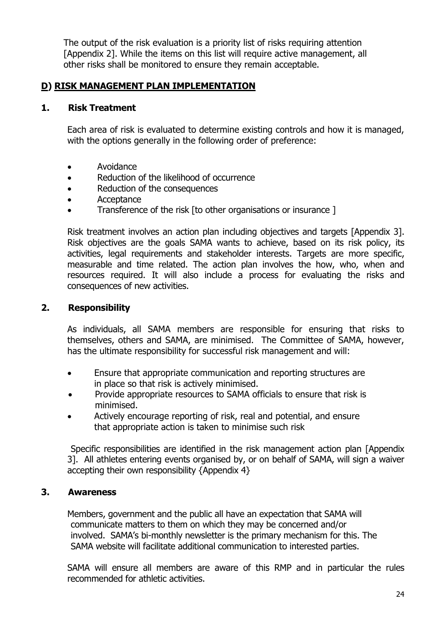The output of the risk evaluation is a priority list of risks requiring attention [Appendix 2]. While the items on this list will require active management, all other risks shall be monitored to ensure they remain acceptable.

#### **D) RISK MANAGEMENT PLAN IMPLEMENTATION**

#### **1. Risk Treatment**

Each area of risk is evaluated to determine existing controls and how it is managed, with the options generally in the following order of preference:

- Avoidance
- Reduction of the likelihood of occurrence
- Reduction of the consequences
- Acceptance
- Transference of the risk [to other organisations or insurance ]

Risk treatment involves an action plan including objectives and targets [Appendix 3]. Risk objectives are the goals SAMA wants to achieve, based on its risk policy, its activities, legal requirements and stakeholder interests. Targets are more specific, measurable and time related. The action plan involves the how, who, when and resources required. It will also include a process for evaluating the risks and consequences of new activities.

#### **2. Responsibility**

As individuals, all SAMA members are responsible for ensuring that risks to themselves, others and SAMA, are minimised. The Committee of SAMA, however, has the ultimate responsibility for successful risk management and will:

- Ensure that appropriate communication and reporting structures are in place so that risk is actively minimised.
- Provide appropriate resources to SAMA officials to ensure that risk is minimised.
- Actively encourage reporting of risk, real and potential, and ensure that appropriate action is taken to minimise such risk

 Specific responsibilities are identified in the risk management action plan [Appendix 3]. All athletes entering events organised by, or on behalf of SAMA, will sign a waiver accepting their own responsibility {Appendix 4}

#### **3. Awareness**

Members, government and the public all have an expectation that SAMA will communicate matters to them on which they may be concerned and/or involved. SAMA's bi-monthly newsletter is the primary mechanism for this. The SAMA website will facilitate additional communication to interested parties.

SAMA will ensure all members are aware of this RMP and in particular the rules recommended for athletic activities.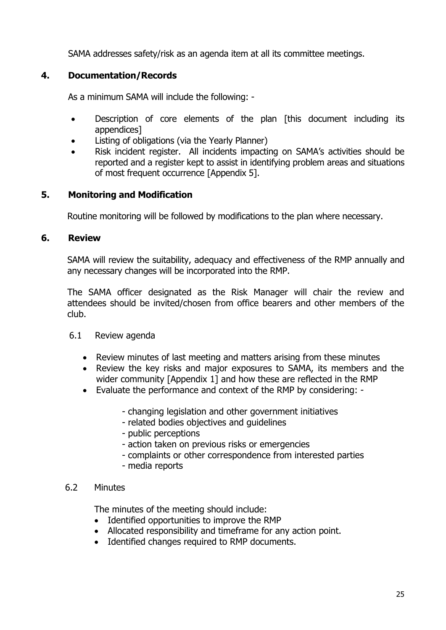SAMA addresses safety/risk as an agenda item at all its committee meetings.

## **4. Documentation/Records**

As a minimum SAMA will include the following: -

- Description of core elements of the plan [this document including its appendices]
- Listing of obligations (via the Yearly Planner)
- Risk incident register. All incidents impacting on SAMA's activities should be reported and a register kept to assist in identifying problem areas and situations of most frequent occurrence [Appendix 5].

## **5. Monitoring and Modification**

Routine monitoring will be followed by modifications to the plan where necessary.

#### **6. Review**

SAMA will review the suitability, adequacy and effectiveness of the RMP annually and any necessary changes will be incorporated into the RMP.

The SAMA officer designated as the Risk Manager will chair the review and attendees should be invited/chosen from office bearers and other members of the club.

#### 6.1 Review agenda

- Review minutes of last meeting and matters arising from these minutes
- Review the key risks and major exposures to SAMA, its members and the wider community [Appendix 1] and how these are reflected in the RMP
- Evaluate the performance and context of the RMP by considering:
	- changing legislation and other government initiatives
	- related bodies objectives and guidelines
	- public perceptions
	- action taken on previous risks or emergencies
	- complaints or other correspondence from interested parties
	- media reports

#### 6.2 Minutes

The minutes of the meeting should include:

- Identified opportunities to improve the RMP
- Allocated responsibility and timeframe for any action point.
- Identified changes required to RMP documents.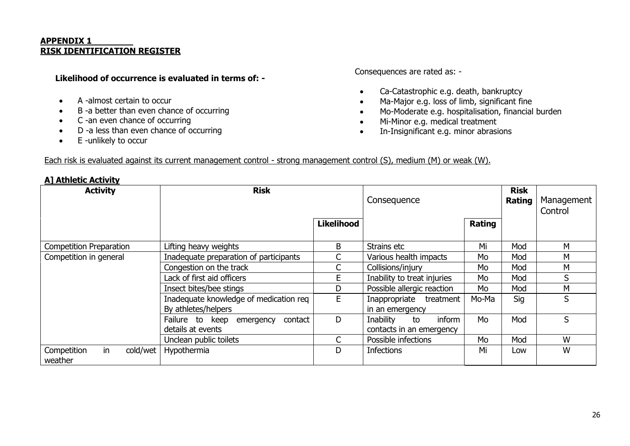#### **APPENDIX 1 RISK IDENTIFICATION REGISTER**

#### **Likelihood of occurrence is evaluated in terms of: -**

- A -almost certain to occur
- B -a better than even chance of occurring
- C -an even chance of occurring
- D -a less than even chance of occurring
- E -unlikely to occur

Consequences are rated as: -

- Ca-Catastrophic e.g. death, bankruptcy
- Ma-Major e.g. loss of limb, significant fine
- Mo-Moderate e.g. hospitalisation, financial burden
- Mi-Minor e.g. medical treatment
- In-Insignificant e.g. minor abrasions

#### Each risk is evaluated against its current management control - strong management control (S), medium (M) or weak (W).

| <b>A] Athletic Activity</b>                |                                                               |                   |                                                       |                       |                       |   |
|--------------------------------------------|---------------------------------------------------------------|-------------------|-------------------------------------------------------|-----------------------|-----------------------|---|
| <b>Activity</b>                            | <b>Risk</b>                                                   |                   | Consequence                                           | <b>Risk</b><br>Rating | Management<br>Control |   |
|                                            |                                                               | <b>Likelihood</b> |                                                       | Rating                |                       |   |
| <b>Competition Preparation</b>             | Lifting heavy weights                                         | B                 | Strains etc                                           | Mi                    | Mod                   | M |
| Competition in general                     | Inadequate preparation of participants                        |                   | Various health impacts                                | Mo                    | Mod                   | M |
|                                            | Congestion on the track                                       |                   | Collisions/injury                                     | Mo                    | Mod                   | М |
|                                            | Lack of first aid officers                                    | E.                | Inability to treat injuries                           | Mo                    | Mod                   | S |
|                                            | Insect bites/bee stings                                       | D                 | Possible allergic reaction                            | Mo                    | Mod                   | М |
|                                            | Inadequate knowledge of medication req<br>By athletes/helpers | E                 | Inappropriate<br>treatment<br>in an emergency         | Mo-Ma                 | Sig                   | S |
|                                            | Failure to keep<br>contact<br>emergency<br>details at events  | D                 | Inability<br>inform<br>to<br>contacts in an emergency | Mo                    | Mod                   | S |
|                                            | Unclean public toilets                                        | C                 | Possible infections                                   | Mo                    | Mod                   | W |
| in<br>cold/wet  <br>Competition<br>weather | Hypothermia                                                   | D                 | <b>Infections</b>                                     | Mi                    | Low                   | W |

#### 26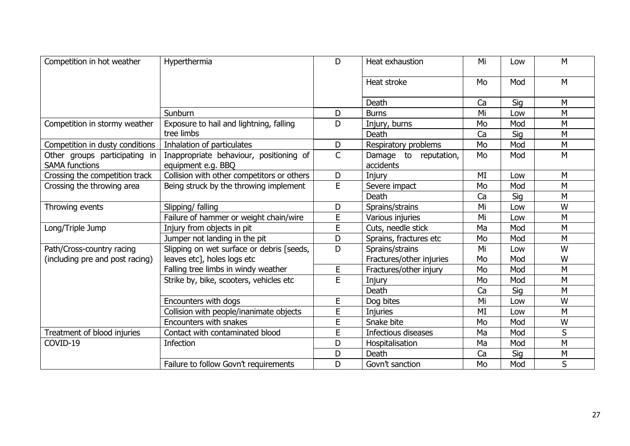| Competition in hot weather                             | Hyperthermia                                                  | D              | Heat exhaustion                          | Mi | Low | M |
|--------------------------------------------------------|---------------------------------------------------------------|----------------|------------------------------------------|----|-----|---|
|                                                        |                                                               |                | Heat stroke                              | Mo | Mod | M |
|                                                        |                                                               |                | Death                                    | Ca | Sig | M |
|                                                        | Sunburn                                                       | D              | <b>Burns</b>                             | Mi | Low | M |
| Competition in stormy weather                          | Exposure to hail and lightning, falling                       | D              | Injury, burns                            | Mo | Mod | M |
|                                                        | tree limbs                                                    |                | Death                                    | Ca | Sig | M |
| Competition in dusty conditions                        | Inhalation of particulates                                    | D              | Respiratory problems                     | Mo | Mod | M |
| Other groups participating in<br><b>SAMA functions</b> | Inappropriate behaviour, positioning of<br>equipment e.g. BBQ | $\mathsf{C}$   | Damage<br>to<br>reputation,<br>accidents | Mo | Mod | M |
| Crossing the competition track                         | Collision with other competitors or others                    | D              | Injury                                   | MI | Low | M |
| Crossing the throwing area                             | Being struck by the throwing implement                        | E              | Severe impact                            | Mo | Mod | M |
|                                                        |                                                               |                | <b>Death</b>                             | Ca | Sig | M |
| Throwing events                                        | Slipping/ falling                                             | D              | Sprains/strains                          | Mi | Low | W |
|                                                        | Failure of hammer or weight chain/wire                        | $\overline{E}$ | Various injuries                         | Mi | Low | M |
| Long/Triple Jump                                       | Injury from objects in pit                                    | E              | Cuts, needle stick                       | Ma | Mod | M |
|                                                        | Jumper not landing in the pit                                 | D              | Sprains, fractures etc                   | Mo | Mod | M |
| Path/Cross-country racing                              | Slipping on wet surface or debris [seeds,                     | D              | Sprains/strains                          | Mi | Low | W |
| (including pre and post racing)                        | leaves etc], holes logs etc                                   |                | Fractures/other injuries                 | Mo | Mod | W |
|                                                        | Falling tree limbs in windy weather                           | E              | Fractures/other injury                   | Mo | Mod | M |
|                                                        | Strike by, bike, scooters, vehicles etc                       | E              | Injury                                   | Mo | Mod | M |
|                                                        |                                                               |                | Death                                    | Ca | Sig | M |
|                                                        | Encounters with dogs                                          | E              | Dog bites                                | Mi | Low | W |
|                                                        | Collision with people/inanimate objects                       | E              | <b>Injuries</b>                          | MI | Low | M |
|                                                        | Encounters with snakes                                        | $\overline{E}$ | Snake bite                               | Mo | Mod | W |
| Treatment of blood injuries                            | Contact with contaminated blood                               | E              | Infectious diseases                      | Ma | Mod | S |
| COVID-19                                               | <b>Infection</b>                                              | D              | Hospitalisation                          | Ma | Mod | M |
|                                                        |                                                               | D              | Death                                    | Ca | Sig | M |
|                                                        | Failure to follow Govn't requirements                         | D              | Govn't sanction                          | Mo | Mod | S |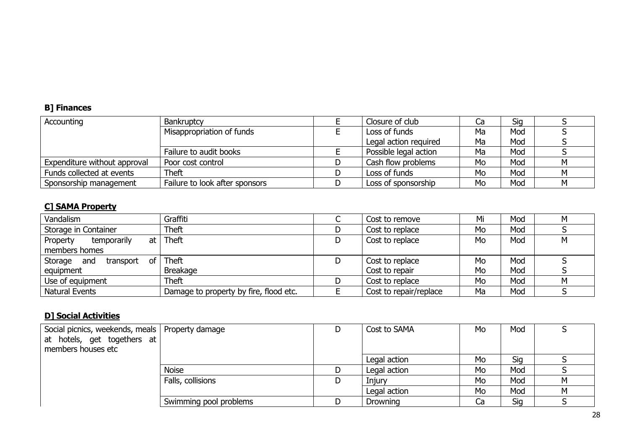#### **B] Finances**

| Accounting                   | <b>Bankruptcy</b>              | Closure of club       | Ca | Sig |  |
|------------------------------|--------------------------------|-----------------------|----|-----|--|
|                              | Misappropriation of funds      | Loss of funds         | Ma | Mod |  |
|                              |                                | Legal action required | Ma | Mod |  |
|                              | Failure to audit books         | Possible legal action | Ma | Mod |  |
| Expenditure without approval | Poor cost control              | Cash flow problems    | Mo | Mod |  |
| Funds collected at events    | <b>Theft</b>                   | Loss of funds         | Mo | Mod |  |
| Sponsorship management       | Failure to look after sponsors | Loss of sponsorship   | Mo | Mod |  |

#### **C] SAMA Property**

| Vandalism                                  | Graffiti                               |    | Cost to remove         | Mi | Mod | M |
|--------------------------------------------|----------------------------------------|----|------------------------|----|-----|---|
| Storage in Container                       | <b>Theft</b>                           |    | Cost to replace        | Mo | Mod |   |
| temporarily<br>at <sub>l</sub><br>Property | Theft                                  | D. | Cost to replace        | Mo | Mod | М |
| members homes                              |                                        |    |                        |    |     |   |
| Storage and<br>transport of                | Theft                                  | D. | Cost to replace        | Mo | Mod |   |
| equipment                                  | <b>Breakage</b>                        |    | Cost to repair         | Mo | Mod |   |
| Use of equipment                           | <b>Theft</b>                           | D  | Cost to replace        | Mo | Mod | м |
| Natural Events                             | Damage to property by fire, flood etc. |    | Cost to repair/replace | Ma | Mod |   |

# **D] Social Activities**

| Social picnics, weekends, meals   Property damage<br>at hotels, get togethers at<br>members houses etc |                        | Cost to SAMA | Mo | Mod |   |
|--------------------------------------------------------------------------------------------------------|------------------------|--------------|----|-----|---|
|                                                                                                        |                        | Legal action | Mo | Sig |   |
|                                                                                                        | <b>Noise</b>           | Legal action | Mo | Mod |   |
|                                                                                                        | Falls, collisions      | Injury       | Mo | Mod | м |
|                                                                                                        |                        | Legal action | Mo | Mod | M |
|                                                                                                        | Swimming pool problems | Drowning     | ٦a | Sig |   |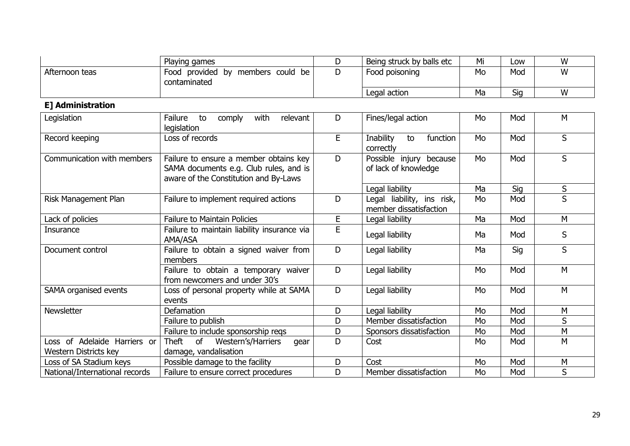|                | Playing games                                              | Being struck by balls etc | Mi | LOW | W |
|----------------|------------------------------------------------------------|---------------------------|----|-----|---|
| Afternoon teas | provided by<br>Food<br>be<br>members could<br>contaminated | Food poisoning            | Mo | Mod | W |
|                |                                                            | Legal action              | Ma | Sig | W |

# **E] Administration**

| Legislation                    | Failure<br>with<br>relevant<br>to<br>comply<br>legislation                                                                | D  | Fines/legal action                                   | Mo | Mod | M |
|--------------------------------|---------------------------------------------------------------------------------------------------------------------------|----|------------------------------------------------------|----|-----|---|
| Record keeping                 | Loss of records                                                                                                           | E. | Inability<br>function<br>to<br>correctly             | Mo | Mod | S |
| Communication with members     | Failure to ensure a member obtains key<br>SAMA documents e.g. Club rules, and is<br>aware of the Constitution and By-Laws | D  | Possible injury because<br>of lack of knowledge      | Mo | Mod | S |
|                                |                                                                                                                           |    | Legal liability                                      | Ma | Sig | S |
| Risk Management Plan           | Failure to implement required actions                                                                                     | D  | Legal liability, ins risk,<br>member dissatisfaction | Mo | Mod | S |
| Lack of policies               | <b>Failure to Maintain Policies</b>                                                                                       | E  | Legal liability                                      | Ma | Mod | M |
| <b>Insurance</b>               | Failure to maintain liability insurance via<br>AMA/ASA                                                                    | E  | Legal liability                                      | Ma | Mod | S |
| Document control               | Failure to obtain a signed waiver from<br>members                                                                         | D  | Legal liability                                      | Ma | Sig | S |
|                                | Failure to obtain a temporary waiver<br>from newcomers and under 30's                                                     | D  | Legal liability                                      | Mo | Mod | M |
| SAMA organised events          | Loss of personal property while at SAMA<br>events                                                                         | D  | Legal liability                                      | Mo | Mod | M |
| Newsletter                     | Defamation                                                                                                                | D  | Legal liability                                      | Mo | Mod | M |
|                                | Failure to publish                                                                                                        | D  | Member dissatisfaction                               | Mo | Mod | S |
|                                | Failure to include sponsorship regs                                                                                       | D  | Sponsors dissatisfaction                             | Mo | Mod | M |
| Loss of Adelaide Harriers or   | Theft<br>of<br>Western's/Harriers<br>gear                                                                                 | D  | Cost                                                 | Mo | Mod | M |
| Western Districts key          | damage, vandalisation                                                                                                     |    |                                                      |    |     |   |
| Loss of SA Stadium keys        | Possible damage to the facility                                                                                           | D  | Cost                                                 | Mo | Mod | M |
| National/International records | Failure to ensure correct procedures                                                                                      | D  | Member dissatisfaction                               | Mo | Mod | S |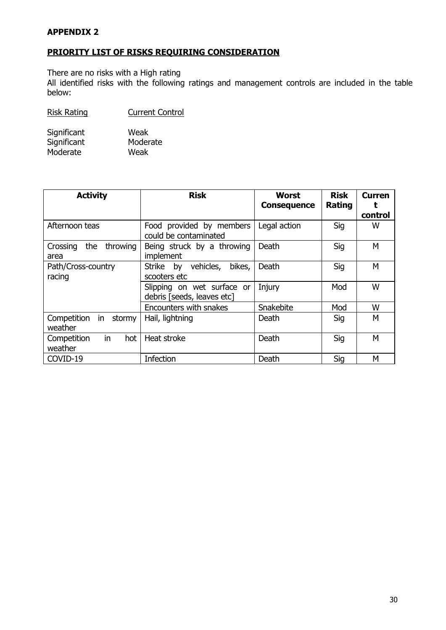#### **APPENDIX 2**

#### **PRIORITY LIST OF RISKS REQUIRING CONSIDERATION**

There are no risks with a High rating

All identified risks with the following ratings and management controls are included in the table below:

| Significant | Weak     |
|-------------|----------|
| Significant | Moderate |
| Moderate    | Weak     |

| <b>Activity</b>                        | <b>Risk</b>                                              | <b>Worst</b><br><b>Consequence</b> | <b>Risk</b><br>Rating | <b>Curren</b><br>control |
|----------------------------------------|----------------------------------------------------------|------------------------------------|-----------------------|--------------------------|
| Afternoon teas                         | Food provided by members<br>could be contaminated        | Legal action                       | Sig                   | W                        |
| Crossing<br>the<br>throwing<br>area    | Being struck by a throwing<br>implement                  | Death                              | Sig                   | M                        |
| Path/Cross-country<br>racing           | Strike by vehicles,<br>bikes,<br>scooters etc            | Death                              | Sig                   | M                        |
|                                        | Slipping on wet surface or<br>debris [seeds, leaves etc] | Injury                             | Mod                   | W                        |
|                                        | Encounters with snakes                                   | Snakebite                          | Mod                   | W                        |
| Competition<br>stormy<br>in<br>weather | Hail, lightning                                          | Death                              | Sig                   | M                        |
| in.<br>Competition<br>hot<br>weather   | Heat stroke                                              | <b>Death</b>                       | Sig                   | м                        |
| COVID-19                               | Infection                                                | Death                              | Sig                   | м                        |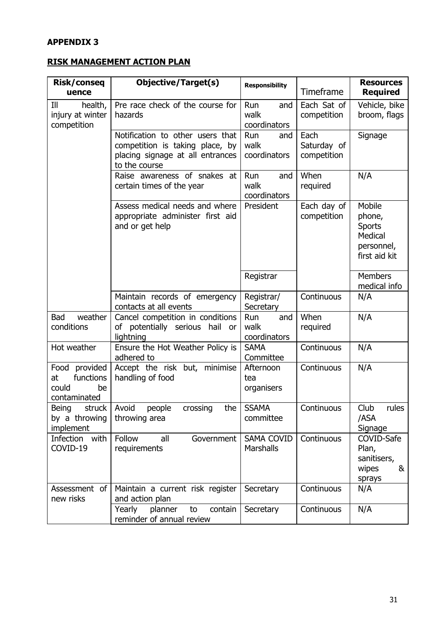#### **APPENDIX 3**

#### **RISK MANAGEMENT ACTION PLAN**

| Risk/conseq<br>uence                                            | <b>Objective/Target(s)</b>                                                                                               | <b>Responsibility</b>              | Timeframe                          | <b>Resources</b><br><b>Required</b>                                         |
|-----------------------------------------------------------------|--------------------------------------------------------------------------------------------------------------------------|------------------------------------|------------------------------------|-----------------------------------------------------------------------------|
| III<br>health,<br>injury at winter<br>competition               | Pre race check of the course for<br>hazards                                                                              | Run<br>and<br>walk<br>coordinators | Each Sat of<br>competition         | Vehicle, bike<br>broom, flags                                               |
|                                                                 | Notification to other users that<br>competition is taking place, by<br>placing signage at all entrances<br>to the course | Run<br>and<br>walk<br>coordinators | Each<br>Saturday of<br>competition | Signage                                                                     |
|                                                                 | Raise awareness of snakes at<br>certain times of the year                                                                | Run<br>and<br>walk<br>coordinators | When<br>required                   | N/A                                                                         |
|                                                                 | Assess medical needs and where<br>appropriate administer first aid<br>and or get help                                    | President                          | Each day of<br>competition         | Mobile<br>phone,<br><b>Sports</b><br>Medical<br>personnel,<br>first aid kit |
|                                                                 |                                                                                                                          | Registrar                          |                                    | <b>Members</b><br>medical info                                              |
|                                                                 | Maintain records of emergency<br>contacts at all events                                                                  | Registrar/<br>Secretary            | Continuous                         | N/A                                                                         |
| weather<br>Bad<br>conditions                                    | Cancel competition in conditions<br>potentially serious<br>hail or<br>οf<br>lightning                                    | Run<br>and<br>walk<br>coordinators | When<br>required                   | N/A                                                                         |
| Hot weather                                                     | Ensure the Hot Weather Policy is<br>adhered to                                                                           | <b>SAMA</b><br>Committee           | Continuous                         | N/A                                                                         |
| Food provided<br>functions<br>at<br>could<br>be<br>contaminated | Accept the risk but, minimise<br>handling of food                                                                        | Afternoon<br>tea<br>organisers     | Continuous                         | N/A                                                                         |
| <b>Being</b><br>struck<br>by a throwing<br>implement            | Avoid<br>people<br>crossing<br>the<br>throwing area                                                                      | <b>SSAMA</b><br>committee          | Continuous                         | Club<br>rules<br>/ASA<br>Signage                                            |
| Infection with<br>COVID-19                                      | Follow<br>all<br>Government<br>requirements                                                                              | <b>SAMA COVID</b><br>Marshalls     | Continuous                         | COVID-Safe<br>Plan,<br>sanitisers,<br>&<br>wipes<br>sprays                  |
| Assessment of<br>new risks                                      | Maintain a current risk register<br>and action plan                                                                      | Secretary                          | Continuous                         | N/A                                                                         |
|                                                                 | Yearly<br>planner<br>contain<br>to<br>reminder of annual review                                                          | Secretary                          | Continuous                         | N/A                                                                         |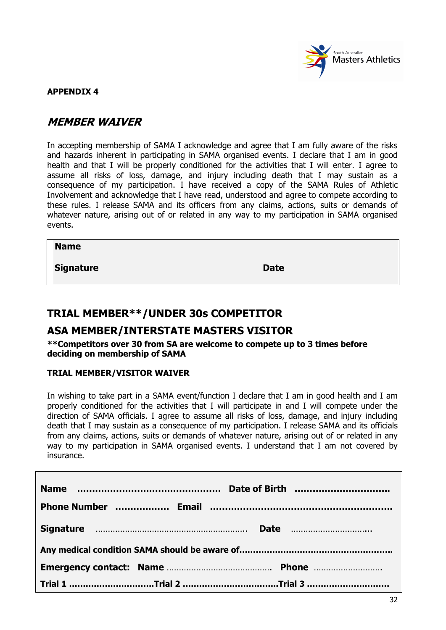

#### **APPENDIX 4**

# **MEMBER WAIVER**

In accepting membership of SAMA I acknowledge and agree that I am fully aware of the risks and hazards inherent in participating in SAMA organised events. I declare that I am in good health and that I will be properly conditioned for the activities that I will enter. I agree to assume all risks of loss, damage, and injury including death that I may sustain as a consequence of my participation. I have received a copy of the SAMA Rules of Athletic Involvement and acknowledge that I have read, understood and agree to compete according to these rules. I release SAMA and its officers from any claims, actions, suits or demands of whatever nature, arising out of or related in any way to my participation in SAMA organised events.

**Name**

**Signature Date** 

# **TRIAL MEMBER\*\*/UNDER 30s COMPETITOR**

## **ASA MEMBER/INTERSTATE MASTERS VISITOR**

**\*\*Competitors over 30 from SA are welcome to compete up to 3 times before deciding on membership of SAMA**

#### **TRIAL MEMBER/VISITOR WAIVER**

In wishing to take part in a SAMA event/function I declare that I am in good health and I am properly conditioned for the activities that I will participate in and I will compete under the direction of SAMA officials. I agree to assume all risks of loss, damage, and injury including death that I may sustain as a consequence of my participation. I release SAMA and its officials from any claims, actions, suits or demands of whatever nature, arising out of or related in any way to my participation in SAMA organised events. I understand that I am not covered by insurance.

|  | Trial 1 ………………………………Trial 2 ……………………………………Trial 3 ……………………………… |
|--|----------------------------------------------------------------|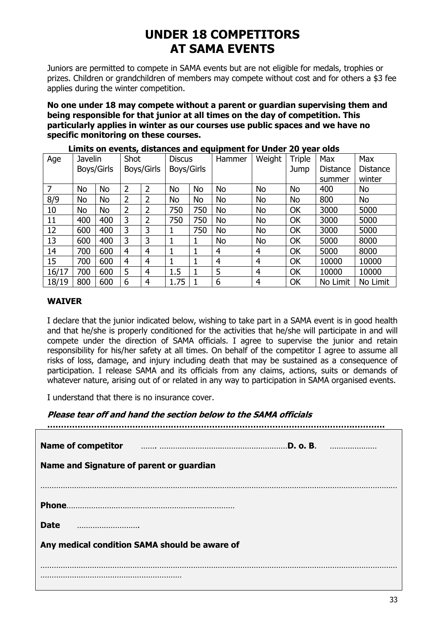# **UNDER 18 COMPETITORS AT SAMA EVENTS**

Juniors are permitted to compete in SAMA events but are not eligible for medals, trophies or prizes. Children or grandchildren of members may compete without cost and for others a \$3 fee applies during the winter competition.

**No one under 18 may compete without a parent or guardian supervising them and being responsible for that junior at all times on the day of competition. This particularly applies in winter as our courses use public spaces and we have no specific monitoring on these courses.** 

| Age   | <b>Javelin</b> |            | Shot |                | <b>Discus</b> |     | Hammer    | Weight         | Triple    | Max      | Max             |
|-------|----------------|------------|------|----------------|---------------|-----|-----------|----------------|-----------|----------|-----------------|
|       |                | Boys/Girls |      | Boys/Girls     | Boys/Girls    |     |           |                | Jump      | Distance | <b>Distance</b> |
|       |                |            |      |                |               |     |           |                |           | summer   | winter          |
| 7     | No             | <b>No</b>  | 2    | 2              | No            | No  | <b>No</b> | <b>No</b>      | <b>No</b> | 400      | <b>No</b>       |
| 8/9   | No             | No         | 2    | 2              | No            | No  | <b>No</b> | <b>No</b>      | <b>No</b> | 800      | <b>No</b>       |
| 10    | No             | No         | 2    | 2              | 750           | 750 | No        | <b>No</b>      | OK        | 3000     | 5000            |
| 11    | 400            | 400        | 3    | 2              | 750           | 750 | No        | <b>No</b>      | OK        | 3000     | 5000            |
| 12    | 600            | 400        | 3    | 3              |               | 750 | No        | <b>No</b>      | OK        | 3000     | 5000            |
| 13    | 600            | 400        | 3    | 3              |               | 1   | <b>No</b> | <b>No</b>      | OK        | 5000     | 8000            |
| 14    | 700            | 600        | 4    | $\overline{4}$ |               |     | 4         | $\overline{4}$ | OK        | 5000     | 8000            |
| 15    | 700            | 600        | 4    | 4              |               |     | 4         | $\overline{4}$ | OK        | 10000    | 10000           |
| 16/17 | 700            | 600        | 5    | $\overline{4}$ | 1.5           |     | 5         | $\overline{4}$ | OK        | 10000    | 10000           |
| 18/19 | 800            | 600        | 6    | 4              | 1.75          |     | 6         | 4              | OK        | No Limit | No Limit        |

**Limits on events, distances and equipment for Under 20 year olds**

#### **WAIVER**

I declare that the junior indicated below, wishing to take part in a SAMA event is in good health and that he/she is properly conditioned for the activities that he/she will participate in and will compete under the direction of SAMA officials. I agree to supervise the junior and retain responsibility for his/her safety at all times. On behalf of the competitor I agree to assume all risks of loss, damage, and injury including death that may be sustained as a consequence of participation. I release SAMA and its officials from any claims, actions, suits or demands of whatever nature, arising out of or related in any way to participation in SAMA organised events.

I understand that there is no insurance cover.

#### **Please tear off and hand the section below to the SAMA officials**

| <b>Name of competitor</b>                     |
|-----------------------------------------------|
| Name and Signature of parent or guardian      |
|                                               |
|                                               |
|                                               |
|                                               |
| <b>Date</b>                                   |
| Any medical condition SAMA should be aware of |
|                                               |
|                                               |
|                                               |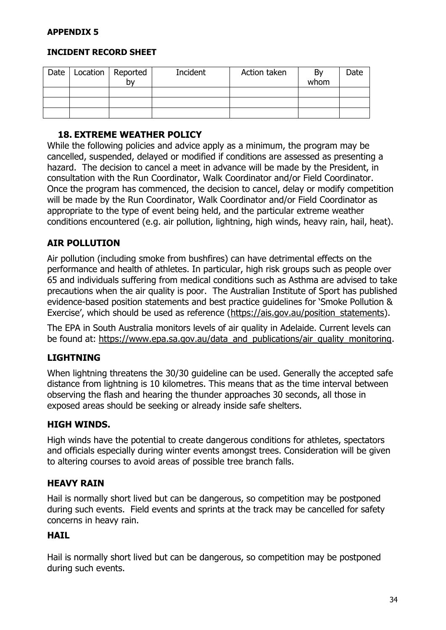#### **INCIDENT RECORD SHEET**

| Date | Location   Reported<br>b٧ | Incident | Action taken | Bv<br>whom | Date |
|------|---------------------------|----------|--------------|------------|------|
|      |                           |          |              |            |      |
|      |                           |          |              |            |      |
|      |                           |          |              |            |      |

#### **18. EXTREME WEATHER POLICY**

While the following policies and advice apply as a minimum, the program may be cancelled, suspended, delayed or modified if conditions are assessed as presenting a hazard. The decision to cancel a meet in advance will be made by the President, in consultation with the Run Coordinator, Walk Coordinator and/or Field Coordinator. Once the program has commenced, the decision to cancel, delay or modify competition will be made by the Run Coordinator, Walk Coordinator and/or Field Coordinator as appropriate to the type of event being held, and the particular extreme weather conditions encountered (e.g. air pollution, lightning, high winds, heavy rain, hail, heat).

#### **AIR POLLUTION**

Air pollution (including smoke from bushfires) can have detrimental effects on the performance and health of athletes. In particular, high risk groups such as people over 65 and individuals suffering from medical conditions such as Asthma are advised to take precautions when the air quality is poor. The Australian Institute of Sport has published evidence-based position statements and best practice guidelines for 'Smoke Pollution & Exercise', which should be used as reference (https://ais.gov.au/position statements).

The EPA in South Australia monitors levels of air quality in Adelaide. Current levels can be found at: [https://www.epa.sa.gov.au/data\\_and\\_publications/air\\_quality\\_monitoring.](https://www.epa.sa.gov.au/data_and_publications/air_quality_monitoring)

#### **LIGHTNING**

When lightning threatens the 30/30 guideline can be used. Generally the accepted safe distance from lightning is 10 kilometres. This means that as the time interval between observing the flash and hearing the thunder approaches 30 seconds, all those in exposed areas should be seeking or already inside safe shelters.

#### **HIGH WINDS.**

High winds have the potential to create dangerous conditions for athletes, spectators and officials especially during winter events amongst trees. Consideration will be given to altering courses to avoid areas of possible tree branch falls.

#### **HEAVY RAIN**

Hail is normally short lived but can be dangerous, so competition may be postponed during such events. Field events and sprints at the track may be cancelled for safety concerns in heavy rain.

#### **HAIL**

Hail is normally short lived but can be dangerous, so competition may be postponed during such events.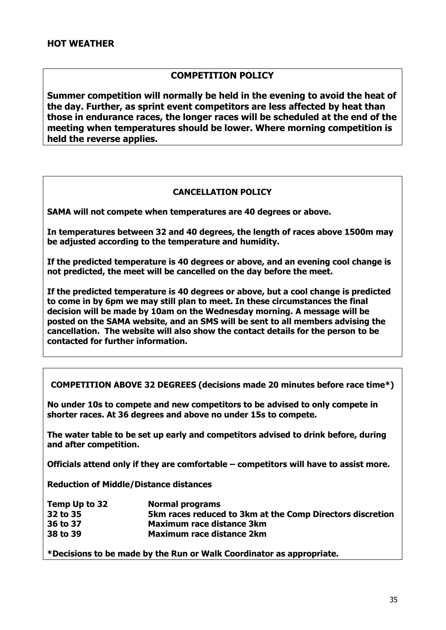#### **COMPETITION POLICY**

**Summer competition will normally be held in the evening to avoid the heat of the day. Further, as sprint event competitors are less affected by heat than those in endurance races, the longer races will be scheduled at the end of the meeting when temperatures should be lower. Where morning competition is held the reverse applies.**

#### **CANCELLATION POLICY**

**SAMA will not compete when temperatures are 40 degrees or above.**

**In temperatures between 32 and 40 degrees, the length of races above 1500m may be adjusted according to the temperature and humidity.**

**If the predicted temperature is 40 degrees or above, and an evening cool change is not predicted, the meet will be cancelled on the day before the meet.**

**If the predicted temperature is 40 degrees or above, but a cool change is predicted to come in by 6pm we may still plan to meet. In these circumstances the final decision will be made by 10am on the Wednesday morning. A message will be posted on the SAMA website, and an SMS will be sent to all members advising the cancellation. The website will also show the contact details for the person to be contacted for further information.**

**COMPETITION ABOVE 32 DEGREES (decisions made 20 minutes before race time\*)**

**No under 10s to compete and new competitors to be advised to only compete in shorter races. At 36 degrees and above no under 15s to compete.**

**The water table to be set up early and competitors advised to drink before, during and after competition.**

**Officials attend only if they are comfortable – competitors will have to assist more.**

**Reduction of Middle/Distance distances**

| Temp Up to 32 | <b>Normal programs</b>                                    |
|---------------|-----------------------------------------------------------|
| 32 to 35      | 5km races reduced to 3km at the Comp Directors discretion |
| 36 to 37      | Maximum race distance 3km                                 |
| 38 to 39      | <b>Maximum race distance 2km</b>                          |

**\*Decisions to be made by the Run or Walk Coordinator as appropriate.**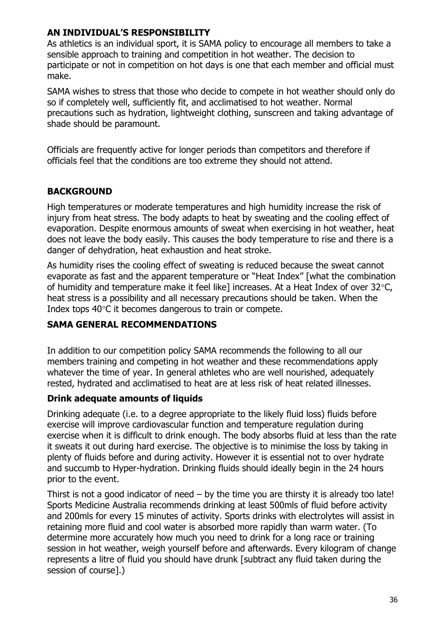#### **AN INDIVIDUAL'S RESPONSIBILITY**

As athletics is an individual sport, it is SAMA policy to encourage all members to take a sensible approach to training and competition in hot weather. The decision to participate or not in competition on hot days is one that each member and official must make.

SAMA wishes to stress that those who decide to compete in hot weather should only do so if completely well, sufficiently fit, and acclimatised to hot weather. Normal precautions such as hydration, lightweight clothing, sunscreen and taking advantage of shade should be paramount.

Officials are frequently active for longer periods than competitors and therefore if officials feel that the conditions are too extreme they should not attend.

## **BACKGROUND**

High temperatures or moderate temperatures and high humidity increase the risk of injury from heat stress. The body adapts to heat by sweating and the cooling effect of evaporation. Despite enormous amounts of sweat when exercising in hot weather, heat does not leave the body easily. This causes the body temperature to rise and there is a danger of dehydration, heat exhaustion and heat stroke.

As humidity rises the cooling effect of sweating is reduced because the sweat cannot evaporate as fast and the apparent temperature or "Heat Index" [what the combination of humidity and temperature make it feel like] increases. At a Heat Index of over  $32^{\circ}$ C, heat stress is a possibility and all necessary precautions should be taken. When the Index tops  $40^{\circ}$ C it becomes dangerous to train or compete.

## **SAMA GENERAL RECOMMENDATIONS**

In addition to our competition policy SAMA recommends the following to all our members training and competing in hot weather and these recommendations apply whatever the time of year. In general athletes who are well nourished, adequately rested, hydrated and acclimatised to heat are at less risk of heat related illnesses.

## **Drink adequate amounts of liquids**

Drinking adequate (i.e. to a degree appropriate to the likely fluid loss) fluids before exercise will improve cardiovascular function and temperature regulation during exercise when it is difficult to drink enough. The body absorbs fluid at less than the rate it sweats it out during hard exercise. The objective is to minimise the loss by taking in plenty of fluids before and during activity. However it is essential not to over hydrate and succumb to Hyper-hydration. Drinking fluids should ideally begin in the 24 hours prior to the event.

Thirst is not a good indicator of need  $-$  by the time you are thirsty it is already too late! Sports Medicine Australia recommends drinking at least 500mls of fluid before activity and 200mls for every 15 minutes of activity. Sports drinks with electrolytes will assist in retaining more fluid and cool water is absorbed more rapidly than warm water. (To determine more accurately how much you need to drink for a long race or training session in hot weather, weigh yourself before and afterwards. Every kilogram of change represents a litre of fluid you should have drunk [subtract any fluid taken during the session of course].)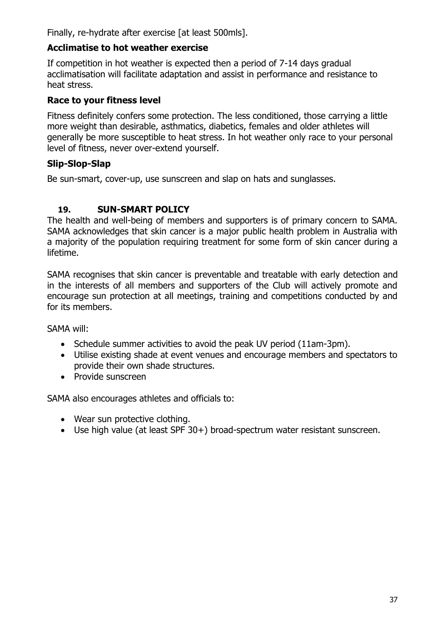Finally, re-hydrate after exercise [at least 500mls].

#### **Acclimatise to hot weather exercise**

If competition in hot weather is expected then a period of 7-14 days gradual acclimatisation will facilitate adaptation and assist in performance and resistance to heat stress.

#### **Race to your fitness level**

Fitness definitely confers some protection. The less conditioned, those carrying a little more weight than desirable, asthmatics, diabetics, females and older athletes will generally be more susceptible to heat stress. In hot weather only race to your personal level of fitness, never over-extend yourself.

#### **Slip-Slop-Slap**

Be sun-smart, cover-up, use sunscreen and slap on hats and sunglasses.

#### **19. SUN-SMART POLICY**

The health and well-being of members and supporters is of primary concern to SAMA. SAMA acknowledges that skin cancer is a major public health problem in Australia with a majority of the population requiring treatment for some form of skin cancer during a lifetime.

SAMA recognises that skin cancer is preventable and treatable with early detection and in the interests of all members and supporters of the Club will actively promote and encourage sun protection at all meetings, training and competitions conducted by and for its members.

SAMA will:

- Schedule summer activities to avoid the peak UV period (11am-3pm).
- Utilise existing shade at event venues and encourage members and spectators to provide their own shade structures.
- Provide sunscreen

SAMA also encourages athletes and officials to:

- Wear sun protective clothing.
- Use high value (at least SPF 30+) broad-spectrum water resistant sunscreen.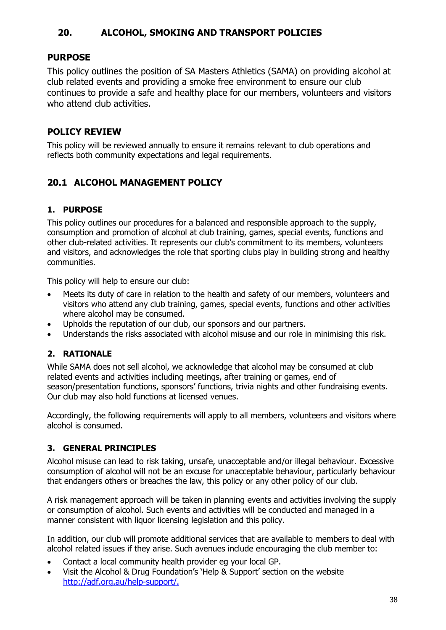## **20. ALCOHOL, SMOKING AND TRANSPORT POLICIES**

#### **PURPOSE**

This policy outlines the position of SA Masters Athletics (SAMA) on providing alcohol at club related events and providing a smoke free environment to ensure our club continues to provide a safe and healthy place for our members, volunteers and visitors who attend club activities.

#### **POLICY REVIEW**

This policy will be reviewed annually to ensure it remains relevant to club operations and reflects both community expectations and legal requirements.

# **20.1 ALCOHOL MANAGEMENT POLICY**

#### **1. PURPOSE**

This policy outlines our procedures for a balanced and responsible approach to the supply, consumption and promotion of alcohol at club training, games, special events, functions and other club-related activities. It represents our club's commitment to its members, volunteers and visitors, and acknowledges the role that sporting clubs play in building strong and healthy communities.

This policy will help to ensure our club:

- Meets its duty of care in relation to the health and safety of our members, volunteers and visitors who attend any club training, games, special events, functions and other activities where alcohol may be consumed.
- Upholds the reputation of our club, our sponsors and our partners.
- Understands the risks associated with alcohol misuse and our role in minimising this risk.

#### **2. RATIONALE**

While SAMA does not sell alcohol, we acknowledge that alcohol may be consumed at club related events and activities including meetings, after training or games, end of season/presentation functions, sponsors' functions, trivia nights and other fundraising events. Our club may also hold functions at licensed venues.

Accordingly, the following requirements will apply to all members, volunteers and visitors where alcohol is consumed.

#### **3. GENERAL PRINCIPLES**

Alcohol misuse can lead to risk taking, unsafe, unacceptable and/or illegal behaviour. Excessive consumption of alcohol will not be an excuse for unacceptable behaviour, particularly behaviour that endangers others or breaches the law, this policy or any other policy of our club.

A risk management approach will be taken in planning events and activities involving the supply or consumption of alcohol. Such events and activities will be conducted and managed in a manner consistent with liquor licensing legislation and this policy.

In addition, our club will promote additional services that are available to members to deal with alcohol related issues if they arise. Such avenues include encouraging the club member to:

- Contact a local community health provider eg your local GP.
- Visit the Alcohol & Drug Foundation's 'Help & Support' section on the website [http://adf.org.au/help-support/.](http://adf.org.au/help-support/)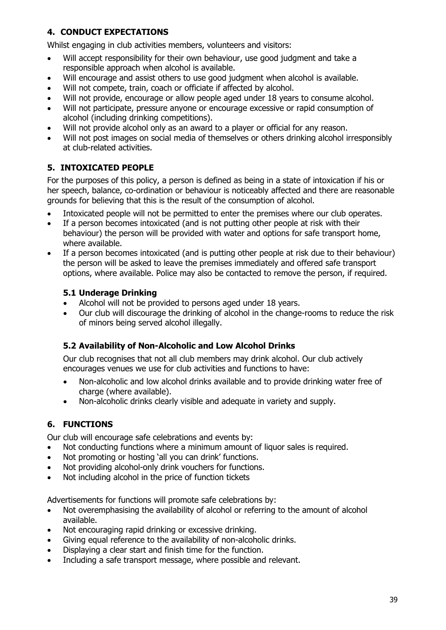#### **4. CONDUCT EXPECTATIONS**

Whilst engaging in club activities members, volunteers and visitors:

- Will accept responsibility for their own behaviour, use good judgment and take a responsible approach when alcohol is available.
- Will encourage and assist others to use good judgment when alcohol is available.
- Will not compete, train, coach or officiate if affected by alcohol.
- Will not provide, encourage or allow people aged under 18 years to consume alcohol.
- Will not participate, pressure anyone or encourage excessive or rapid consumption of alcohol (including drinking competitions).
- Will not provide alcohol only as an award to a player or official for any reason.
- Will not post images on social media of themselves or others drinking alcohol irresponsibly at club-related activities.

## **5. INTOXICATED PEOPLE**

For the purposes of this policy, a person is defined as being in a state of intoxication if his or her speech, balance, co-ordination or behaviour is noticeably affected and there are reasonable grounds for believing that this is the result of the consumption of alcohol.

- Intoxicated people will not be permitted to enter the premises where our club operates.
- If a person becomes intoxicated (and is not putting other people at risk with their behaviour) the person will be provided with water and options for safe transport home, where available.
- If a person becomes intoxicated (and is putting other people at risk due to their behaviour) the person will be asked to leave the premises immediately and offered safe transport options, where available. Police may also be contacted to remove the person, if required.

#### **5.1 Underage Drinking**

- Alcohol will not be provided to persons aged under 18 years.
- Our club will discourage the drinking of alcohol in the change-rooms to reduce the risk of minors being served alcohol illegally.

#### **5.2 Availability of Non-Alcoholic and Low Alcohol Drinks**

Our club recognises that not all club members may drink alcohol. Our club actively encourages venues we use for club activities and functions to have:

- Non-alcoholic and low alcohol drinks available and to provide drinking water free of charge (where available).
- Non-alcoholic drinks clearly visible and adequate in variety and supply.

#### **6. FUNCTIONS**

Our club will encourage safe celebrations and events by:

- Not conducting functions where a minimum amount of liquor sales is required.
- Not promoting or hosting 'all you can drink' functions.
- Not providing alcohol-only drink vouchers for functions.
- Not including alcohol in the price of function tickets

Advertisements for functions will promote safe celebrations by:

- Not overemphasising the availability of alcohol or referring to the amount of alcohol available.
- Not encouraging rapid drinking or excessive drinking.
- Giving equal reference to the availability of non-alcoholic drinks.
- Displaying a clear start and finish time for the function.
- Including a safe transport message, where possible and relevant.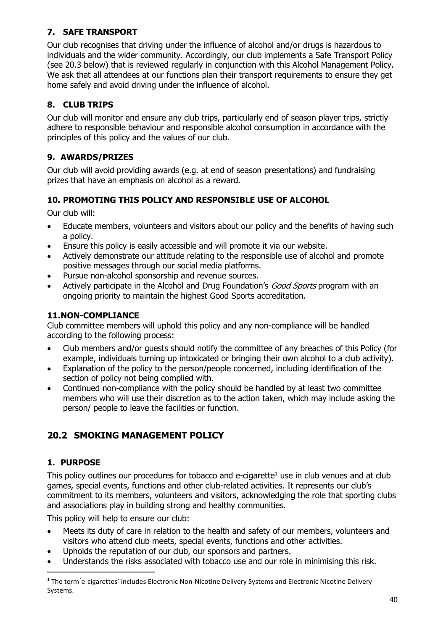#### **7. SAFE TRANSPORT**

Our club recognises that driving under the influence of alcohol and/or drugs is hazardous to individuals and the wider community. Accordingly, our club implements a Safe Transport Policy (see 20.3 below) that is reviewed regularly in conjunction with this Alcohol Management Policy. We ask that all attendees at our functions plan their transport requirements to ensure they get home safely and avoid driving under the influence of alcohol.

# **8. CLUB TRIPS**

Our club will monitor and ensure any club trips, particularly end of season player trips, strictly adhere to responsible behaviour and responsible alcohol consumption in accordance with the principles of this policy and the values of our club.

# **9. AWARDS/PRIZES**

Our club will avoid providing awards (e.g. at end of season presentations) and fundraising prizes that have an emphasis on alcohol as a reward.

## **10. PROMOTING THIS POLICY AND RESPONSIBLE USE OF ALCOHOL**

Our club will:

- Educate members, volunteers and visitors about our policy and the benefits of having such a policy.
- Ensure this policy is easily accessible and will promote it via our website.
- Actively demonstrate our attitude relating to the responsible use of alcohol and promote positive messages through our social media platforms.
- Pursue non-alcohol sponsorship and revenue sources.
- Actively participate in the Alcohol and Drug Foundation's *Good Sports* program with an ongoing priority to maintain the highest Good Sports accreditation.

#### **11.NON-COMPLIANCE**

Club committee members will uphold this policy and any non-compliance will be handled according to the following process:

- Club members and/or guests should notify the committee of any breaches of this Policy (for example, individuals turning up intoxicated or bringing their own alcohol to a club activity).
- Explanation of the policy to the person/people concerned, including identification of the section of policy not being complied with.
- Continued non-compliance with the policy should be handled by at least two committee members who will use their discretion as to the action taken, which may include asking the person/ people to leave the facilities or function.

# **20.2 SMOKING MANAGEMENT POLICY**

## **1. PURPOSE**

This policy outlines our procedures for tobacco and e-cigarette $1$  use in club venues and at club games, special events, functions and other club-related activities. It represents our club's commitment to its members, volunteers and visitors, acknowledging the role that sporting clubs and associations play in building strong and healthy communities.

This policy will help to ensure our club:

- Meets its duty of care in relation to the health and safety of our members, volunteers and visitors who attend club meets, special events, functions and other activities.
- Upholds the reputation of our club, our sponsors and partners.
- Understands the risks associated with tobacco use and our role in minimising this risk.

<sup>&</sup>lt;sup>1</sup> The term 'e-cigarettes' includes Electronic Non-Nicotine Delivery Systems and Electronic Nicotine Delivery Systems.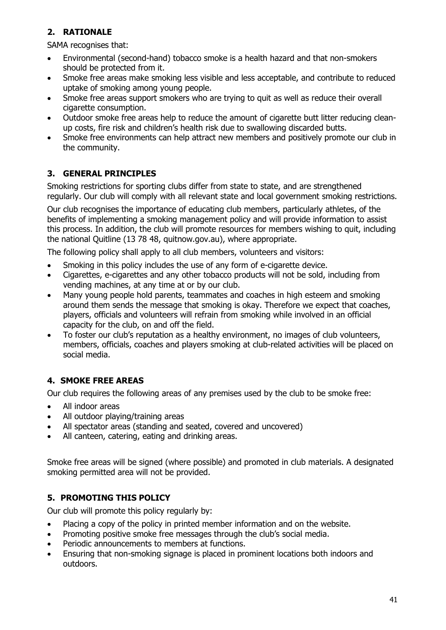#### **2. RATIONALE**

SAMA recognises that:

- Environmental (second-hand) tobacco smoke is a health hazard and that non-smokers should be protected from it.
- Smoke free areas make smoking less visible and less acceptable, and contribute to reduced uptake of smoking among young people.
- Smoke free areas support smokers who are trying to quit as well as reduce their overall cigarette consumption.
- Outdoor smoke free areas help to reduce the amount of cigarette butt litter reducing cleanup costs, fire risk and children's health risk due to swallowing discarded butts.
- Smoke free environments can help attract new members and positively promote our club in the community.

#### **3. GENERAL PRINCIPLES**

Smoking restrictions for sporting clubs differ from state to state, and are strengthened regularly. Our club will comply with all relevant state and local government smoking restrictions.

Our club recognises the importance of educating club members, particularly athletes, of the benefits of implementing a smoking management policy and will provide information to assist this process. In addition, the club will promote resources for members wishing to quit, including the national Quitline (13 78 48, quitnow.gov.au), where appropriate.

The following policy shall apply to all club members, volunteers and visitors:

- Smoking in this policy includes the use of any form of e-cigarette device.
- Cigarettes, e-cigarettes and any other tobacco products will not be sold, including from vending machines, at any time at or by our club.
- Many young people hold parents, teammates and coaches in high esteem and smoking around them sends the message that smoking is okay. Therefore we expect that coaches, players, officials and volunteers will refrain from smoking while involved in an official capacity for the club, on and off the field.
- To foster our club's reputation as a healthy environment, no images of club volunteers, members, officials, coaches and players smoking at club-related activities will be placed on social media.

## **4. SMOKE FREE AREAS**

Our club requires the following areas of any premises used by the club to be smoke free:

- All indoor areas
- All outdoor playing/training areas
- All spectator areas (standing and seated, covered and uncovered)
- All canteen, catering, eating and drinking areas.

Smoke free areas will be signed (where possible) and promoted in club materials. A designated smoking permitted area will not be provided.

#### **5. PROMOTING THIS POLICY**

Our club will promote this policy regularly by:

- Placing a copy of the policy in printed member information and on the website.
- Promoting positive smoke free messages through the club's social media.
- Periodic announcements to members at functions.
- Ensuring that non-smoking signage is placed in prominent locations both indoors and outdoors.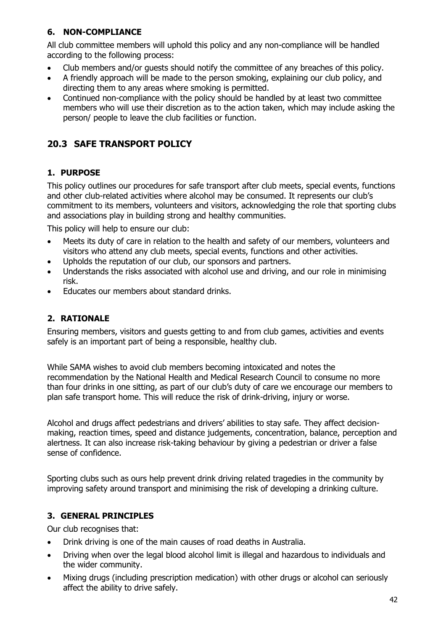#### **6. NON-COMPLIANCE**

All club committee members will uphold this policy and any non-compliance will be handled according to the following process:

- Club members and/or guests should notify the committee of any breaches of this policy.
- A friendly approach will be made to the person smoking, explaining our club policy, and directing them to any areas where smoking is permitted.
- Continued non-compliance with the policy should be handled by at least two committee members who will use their discretion as to the action taken, which may include asking the person/ people to leave the club facilities or function.

# **20.3 SAFE TRANSPORT POLICY**

#### **1. PURPOSE**

This policy outlines our procedures for safe transport after club meets, special events, functions and other club-related activities where alcohol may be consumed. It represents our club's commitment to its members, volunteers and visitors, acknowledging the role that sporting clubs and associations play in building strong and healthy communities.

This policy will help to ensure our club:

- Meets its duty of care in relation to the health and safety of our members, volunteers and visitors who attend any club meets, special events, functions and other activities.
- Upholds the reputation of our club, our sponsors and partners.
- Understands the risks associated with alcohol use and driving, and our role in minimising risk.
- Educates our members about standard drinks.

## **2. RATIONALE**

Ensuring members, visitors and guests getting to and from club games, activities and events safely is an important part of being a responsible, healthy club.

While SAMA wishes to avoid club members becoming intoxicated and notes the recommendation by the National Health and Medical Research Council to consume no more than four drinks in one sitting, as part of our club's duty of care we encourage our members to plan safe transport home. This will reduce the risk of drink-driving, injury or worse.

Alcohol and drugs affect pedestrians and drivers' abilities to stay safe. They affect decisionmaking, reaction times, speed and distance judgements, concentration, balance, perception and alertness. It can also increase risk-taking behaviour by giving a pedestrian or driver a false sense of confidence.

Sporting clubs such as ours help prevent drink driving related tragedies in the community by improving safety around transport and minimising the risk of developing a drinking culture.

#### **3. GENERAL PRINCIPLES**

Our club recognises that:

- Drink driving is one of the main causes of road deaths in Australia.
- Driving when over the legal blood alcohol limit is illegal and hazardous to individuals and the wider community.
- Mixing drugs (including prescription medication) with other drugs or alcohol can seriously affect the ability to drive safely.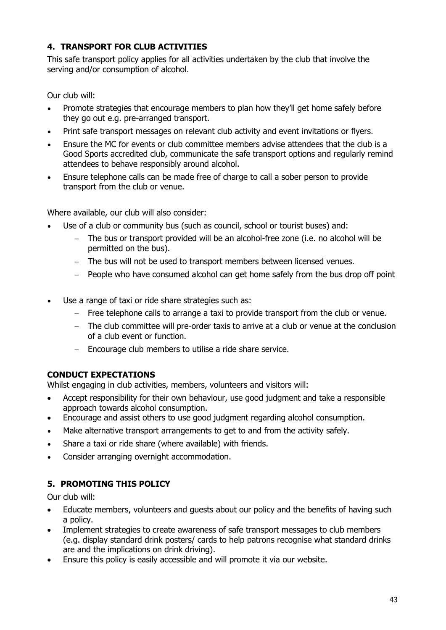#### **4. TRANSPORT FOR CLUB ACTIVITIES**

This safe transport policy applies for all activities undertaken by the club that involve the serving and/or consumption of alcohol.

Our club will:

- Promote strategies that encourage members to plan how they'll get home safely before they go out e.g. pre-arranged transport.
- Print safe transport messages on relevant club activity and event invitations or flyers.
- Ensure the MC for events or club committee members advise attendees that the club is a Good Sports accredited club, communicate the safe transport options and regularly remind attendees to behave responsibly around alcohol.
- Ensure telephone calls can be made free of charge to call a sober person to provide transport from the club or venue.

Where available, our club will also consider:

- Use of a club or community bus (such as council, school or tourist buses) and:
	- − The bus or transport provided will be an alcohol-free zone (i.e. no alcohol will be permitted on the bus).
	- − The bus will not be used to transport members between licensed venues.
	- − People who have consumed alcohol can get home safely from the bus drop off point
- Use a range of taxi or ride share strategies such as:
	- − Free telephone calls to arrange a taxi to provide transport from the club or venue.
	- − The club committee will pre-order taxis to arrive at a club or venue at the conclusion of a club event or function.
	- − Encourage club members to utilise a ride share service.

## **CONDUCT EXPECTATIONS**

Whilst engaging in club activities, members, volunteers and visitors will:

- Accept responsibility for their own behaviour, use good judgment and take a responsible approach towards alcohol consumption.
- Encourage and assist others to use good judgment regarding alcohol consumption.
- Make alternative transport arrangements to get to and from the activity safely.
- Share a taxi or ride share (where available) with friends.
- Consider arranging overnight accommodation.

# **5. PROMOTING THIS POLICY**

Our club will:

- Educate members, volunteers and guests about our policy and the benefits of having such a policy.
- Implement strategies to create awareness of safe transport messages to club members (e.g. display standard drink posters/ cards to help patrons recognise what standard drinks are and the implications on drink driving).
- Ensure this policy is easily accessible and will promote it via our website.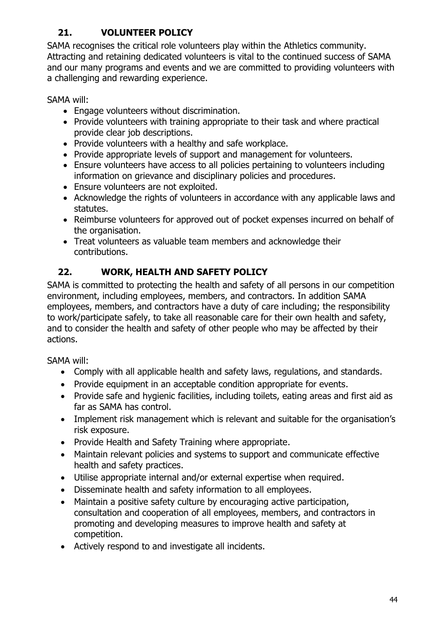# **21. VOLUNTEER POLICY**

SAMA recognises the critical role volunteers play within the Athletics community. Attracting and retaining dedicated volunteers is vital to the continued success of SAMA and our many programs and events and we are committed to providing volunteers with a challenging and rewarding experience.

SAMA will:

- Engage volunteers without discrimination.
- Provide volunteers with training appropriate to their task and where practical provide clear job descriptions.
- Provide volunteers with a healthy and safe workplace.
- Provide appropriate levels of support and management for volunteers.
- Ensure volunteers have access to all policies pertaining to volunteers including information on grievance and disciplinary policies and procedures.
- Ensure volunteers are not exploited.
- Acknowledge the rights of volunteers in accordance with any applicable laws and statutes.
- Reimburse volunteers for approved out of pocket expenses incurred on behalf of the organisation.
- Treat volunteers as valuable team members and acknowledge their contributions.

# **22. WORK, HEALTH AND SAFETY POLICY**

SAMA is committed to protecting the health and safety of all persons in our competition environment, including employees, members, and contractors. In addition SAMA employees, members, and contractors have a duty of care including; the responsibility to work/participate safely, to take all reasonable care for their own health and safety, and to consider the health and safety of other people who may be affected by their actions.

SAMA will:

- Comply with all applicable health and safety laws, regulations, and standards.
- Provide equipment in an acceptable condition appropriate for events.
- Provide safe and hygienic facilities, including toilets, eating areas and first aid as far as SAMA has control.
- Implement risk management which is relevant and suitable for the organisation's risk exposure.
- Provide Health and Safety Training where appropriate.
- Maintain relevant policies and systems to support and communicate effective health and safety practices.
- Utilise appropriate internal and/or external expertise when required.
- Disseminate health and safety information to all employees.
- Maintain a positive safety culture by encouraging active participation, consultation and cooperation of all employees, members, and contractors in promoting and developing measures to improve health and safety at competition.
- Actively respond to and investigate all incidents.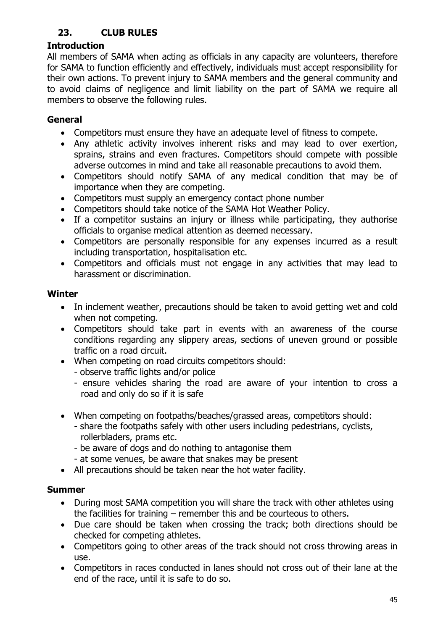# **23. CLUB RULES**

#### **Introduction**

All members of SAMA when acting as officials in any capacity are volunteers, therefore for SAMA to function efficiently and effectively, individuals must accept responsibility for their own actions. To prevent injury to SAMA members and the general community and to avoid claims of negligence and limit liability on the part of SAMA we require all members to observe the following rules.

#### **General**

- Competitors must ensure they have an adequate level of fitness to compete.
- Any athletic activity involves inherent risks and may lead to over exertion, sprains, strains and even fractures. Competitors should compete with possible adverse outcomes in mind and take all reasonable precautions to avoid them.
- Competitors should notify SAMA of any medical condition that may be of importance when they are competing.
- Competitors must supply an emergency contact phone number
- Competitors should take notice of the SAMA Hot Weather Policy.
- If a competitor sustains an injury or illness while participating, they authorise officials to organise medical attention as deemed necessary.
- Competitors are personally responsible for any expenses incurred as a result including transportation, hospitalisation etc.
- Competitors and officials must not engage in any activities that may lead to harassment or discrimination.

#### **Winter**

- In inclement weather, precautions should be taken to avoid getting wet and cold when not competing.
- Competitors should take part in events with an awareness of the course conditions regarding any slippery areas, sections of uneven ground or possible traffic on a road circuit.
- When competing on road circuits competitors should:
	- observe traffic lights and/or police
	- ensure vehicles sharing the road are aware of your intention to cross a road and only do so if it is safe
- When competing on footpaths/beaches/grassed areas, competitors should:
	- share the footpaths safely with other users including pedestrians, cyclists, rollerbladers, prams etc.
	- be aware of dogs and do nothing to antagonise them
	- at some venues, be aware that snakes may be present
- All precautions should be taken near the hot water facility.

#### **Summer**

- During most SAMA competition you will share the track with other athletes using the facilities for training – remember this and be courteous to others.
- Due care should be taken when crossing the track; both directions should be checked for competing athletes.
- Competitors going to other areas of the track should not cross throwing areas in use.
- Competitors in races conducted in lanes should not cross out of their lane at the end of the race, until it is safe to do so.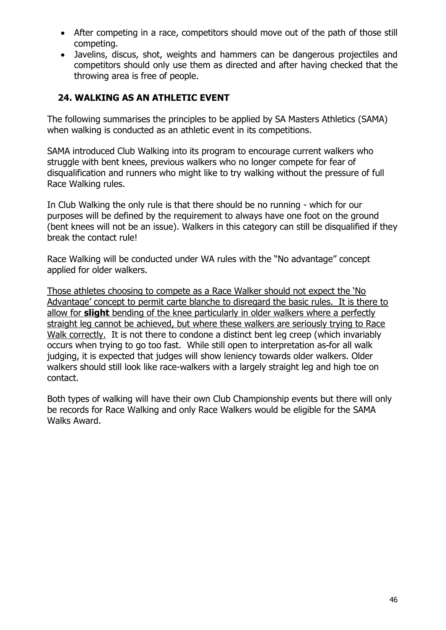- After competing in a race, competitors should move out of the path of those still competing.
- Javelins, discus, shot, weights and hammers can be dangerous projectiles and competitors should only use them as directed and after having checked that the throwing area is free of people.

#### **24. WALKING AS AN ATHLETIC EVENT**

The following summarises the principles to be applied by SA Masters Athletics (SAMA) when walking is conducted as an athletic event in its competitions.

SAMA introduced Club Walking into its program to encourage current walkers who struggle with bent knees, previous walkers who no longer compete for fear of disqualification and runners who might like to try walking without the pressure of full Race Walking rules.

In Club Walking the only rule is that there should be no running - which for our purposes will be defined by the requirement to always have one foot on the ground (bent knees will not be an issue). Walkers in this category can still be disqualified if they break the contact rule!

Race Walking will be conducted under WA rules with the "No advantage" concept applied for older walkers.

Those athletes choosing to compete as a Race Walker should not expect the 'No Advantage' concept to permit carte blanche to disregard the basic rules. It is there to allow for **slight** bending of the knee particularly in older walkers where a perfectly straight leg cannot be achieved, but where these walkers are seriously trying to Race Walk correctly. It is not there to condone a distinct bent leg creep (which invariably occurs when trying to go too fast. While still open to interpretation as for all walk judging, it is expected that judges will show leniency towards older walkers. Older walkers should still look like race-walkers with a largely straight leg and high toe on contact.

Both types of walking will have their own Club Championship events but there will only be records for Race Walking and only Race Walkers would be eligible for the SAMA Walks Award.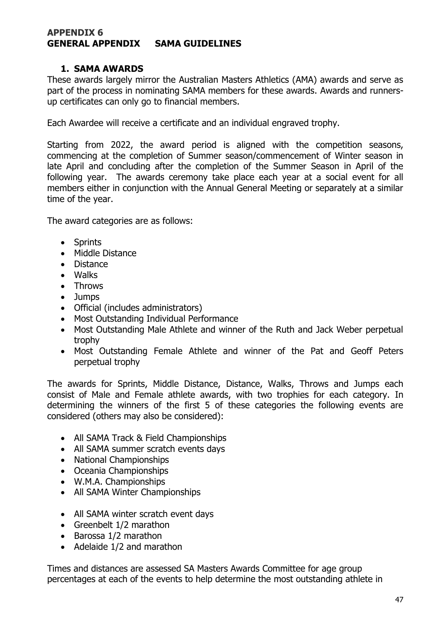#### **APPENDIX 6 GENERAL APPENDIX SAMA GUIDELINES**

#### **1. SAMA AWARDS**

These awards largely mirror the Australian Masters Athletics (AMA) awards and serve as part of the process in nominating SAMA members for these awards. Awards and runnersup certificates can only go to financial members.

Each Awardee will receive a certificate and an individual engraved trophy.

Starting from 2022, the award period is aligned with the competition seasons, commencing at the completion of Summer season/commencement of Winter season in late April and concluding after the completion of the Summer Season in April of the following year. The awards ceremony take place each year at a social event for all members either in conjunction with the Annual General Meeting or separately at a similar time of the year.

The award categories are as follows:

- Sprints
- Middle Distance
- Distance
- Walks
- Throws
- Jumps
- Official (includes administrators)
- Most Outstanding Individual Performance
- Most Outstanding Male Athlete and winner of the Ruth and Jack Weber perpetual trophy
- Most Outstanding Female Athlete and winner of the Pat and Geoff Peters perpetual trophy

The awards for Sprints, Middle Distance, Distance, Walks, Throws and Jumps each consist of Male and Female athlete awards, with two trophies for each category. In determining the winners of the first 5 of these categories the following events are considered (others may also be considered):

- All SAMA Track & Field Championships
- All SAMA summer scratch events days
- National Championships
- Oceania Championships
- W.M.A. Championships
- All SAMA Winter Championships
- All SAMA winter scratch event days
- Greenbelt 1/2 marathon
- Barossa 1/2 marathon
- Adelaide 1/2 and marathon

Times and distances are assessed SA Masters Awards Committee for age group percentages at each of the events to help determine the most outstanding athlete in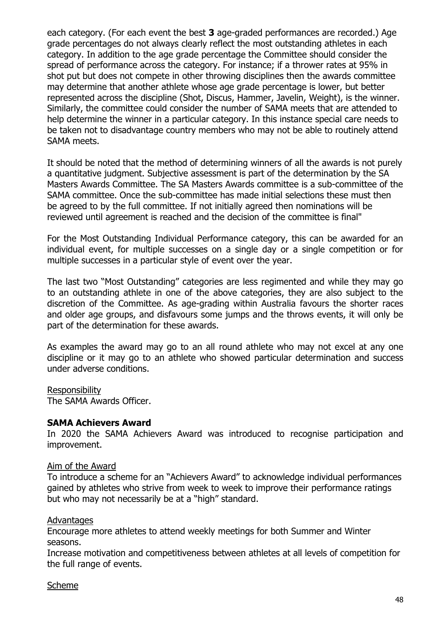each category. (For each event the best **3** age-graded performances are recorded.) Age grade percentages do not always clearly reflect the most outstanding athletes in each category. In addition to the age grade percentage the Committee should consider the spread of performance across the category. For instance; if a thrower rates at 95% in shot put but does not compete in other throwing disciplines then the awards committee may determine that another athlete whose age grade percentage is lower, but better represented across the discipline (Shot, Discus, Hammer, Javelin, Weight), is the winner. Similarly, the committee could consider the number of SAMA meets that are attended to help determine the winner in a particular category. In this instance special care needs to be taken not to disadvantage country members who may not be able to routinely attend SAMA meets.

It should be noted that the method of determining winners of all the awards is not purely a quantitative judgment. Subjective assessment is part of the determination by the SA Masters Awards Committee. The SA Masters Awards committee is a sub-committee of the SAMA committee. Once the sub-committee has made initial selections these must then be agreed to by the full committee. If not initially agreed then nominations will be reviewed until agreement is reached and the decision of the committee is final"

For the Most Outstanding Individual Performance category, this can be awarded for an individual event, for multiple successes on a single day or a single competition or for multiple successes in a particular style of event over the year.

The last two "Most Outstanding" categories are less regimented and while they may go to an outstanding athlete in one of the above categories, they are also subject to the discretion of the Committee. As age-grading within Australia favours the shorter races and older age groups, and disfavours some jumps and the throws events, it will only be part of the determination for these awards.

As examples the award may go to an all round athlete who may not excel at any one discipline or it may go to an athlete who showed particular determination and success under adverse conditions.

#### Responsibility

The SAMA Awards Officer.

#### **SAMA Achievers Award**

In 2020 the SAMA Achievers Award was introduced to recognise participation and improvement.

#### Aim of the Award

To introduce a scheme for an "Achievers Award" to acknowledge individual performances gained by athletes who strive from week to week to improve their performance ratings but who may not necessarily be at a "high" standard.

#### **Advantages**

Encourage more athletes to attend weekly meetings for both Summer and Winter seasons.

Increase motivation and competitiveness between athletes at all levels of competition for the full range of events.

#### Scheme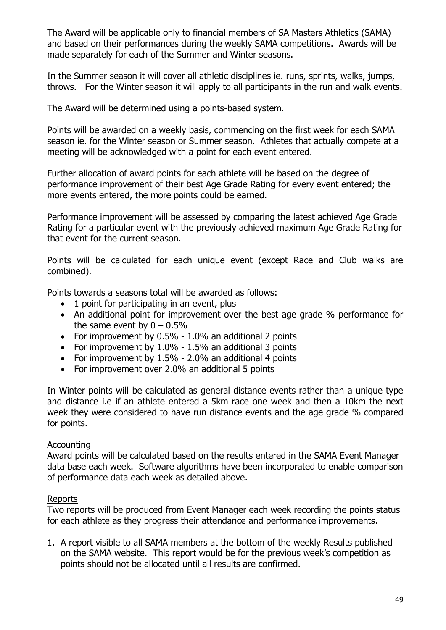The Award will be applicable only to financial members of SA Masters Athletics (SAMA) and based on their performances during the weekly SAMA competitions. Awards will be made separately for each of the Summer and Winter seasons.

In the Summer season it will cover all athletic disciplines ie. runs, sprints, walks, jumps, throws. For the Winter season it will apply to all participants in the run and walk events.

The Award will be determined using a points-based system.

Points will be awarded on a weekly basis, commencing on the first week for each SAMA season ie. for the Winter season or Summer season. Athletes that actually compete at a meeting will be acknowledged with a point for each event entered.

Further allocation of award points for each athlete will be based on the degree of performance improvement of their best Age Grade Rating for every event entered; the more events entered, the more points could be earned.

Performance improvement will be assessed by comparing the latest achieved Age Grade Rating for a particular event with the previously achieved maximum Age Grade Rating for that event for the current season.

Points will be calculated for each unique event (except Race and Club walks are combined).

Points towards a seasons total will be awarded as follows:

- 1 point for participating in an event, plus
- An additional point for improvement over the best age grade % performance for the same event by  $0 - 0.5\%$
- For improvement by 0.5% 1.0% an additional 2 points
- For improvement by 1.0% 1.5% an additional 3 points
- For improvement by 1.5% 2.0% an additional 4 points
- For improvement over 2.0% an additional 5 points

In Winter points will be calculated as general distance events rather than a unique type and distance i.e if an athlete entered a 5km race one week and then a 10km the next week they were considered to have run distance events and the age grade % compared for points.

#### Accounting

Award points will be calculated based on the results entered in the SAMA Event Manager data base each week. Software algorithms have been incorporated to enable comparison of performance data each week as detailed above.

#### Reports

Two reports will be produced from Event Manager each week recording the points status for each athlete as they progress their attendance and performance improvements.

1. A report visible to all SAMA members at the bottom of the weekly Results published on the SAMA website. This report would be for the previous week's competition as points should not be allocated until all results are confirmed.